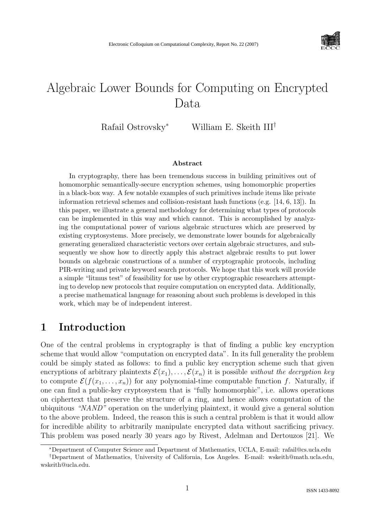

# Algebraic Lower Bounds for Computing on Encrypted Data

Rafail Ostrovsky<sup>∗</sup> William E. Skeith III†

#### Abstract

In cryptography, there has been tremendous success in building primitives out of homomorphic semantically-secure encryption schemes, using homomorphic properties in a black-box way. A few notable examples of such primitives include items like private information retrieval schemes and collision-resistant hash functions (e.g. [14, 6, 13]). In this paper, we illustrate a general methodology for determining what types of protocols can be implemented in this way and which cannot. This is accomplished by analyzing the computational power of various algebraic structures which are preserved by existing cryptosystems. More precisely, we demonstrate lower bounds for algebraically generating generalized characteristic vectors over certain algebraic structures, and subsequently we show how to directly apply this abstract algebraic results to put lower bounds on algebraic constructions of a number of cryptographic protocols, including PIR-writing and private keyword search protocols. We hope that this work will provide a simple "litmus test" of feasibility for use by other cryptographic researchers attempting to develop new protocols that require computation on encrypted data. Additionally, a precise mathematical language for reasoning about such problems is developed in this work, which may be of independent interest.

# 1 Introduction

One of the central problems in cryptography is that of finding a public key encryption scheme that would allow "computation on encrypted data". In its full generality the problem could be simply stated as follows: to find a public key encryption scheme such that given encryptions of arbitrary plaintexts  $\mathcal{E}(x_1), \ldots, \mathcal{E}(x_n)$  it is possible without the decryption key to compute  $\mathcal{E}(f(x_1, \ldots, x_n))$  for any polynomial-time computable function f. Naturally, if one can find a public-key cryptosystem that is "fully homomorphic", i.e. allows operations on ciphertext that preserve the structure of a ring, and hence allows computation of the ubiquitous "NAND" operation on the underlying plaintext, it would give a general solution to the above problem. Indeed, the reason this is such a central problem is that it would allow for incredible ability to arbitrarily manipulate encrypted data without sacrificing privacy. This problem was posed nearly 30 years ago by Rivest, Adelman and Dertouzos [21]. We

<sup>∗</sup>Department of Computer Science and Department of Mathematics, UCLA, E-mail: rafail@cs.ucla.edu

<sup>†</sup>Department of Mathematics, University of California, Los Angeles. E-mail: wskeith@math.ucla.edu, wskeith@ucla.edu.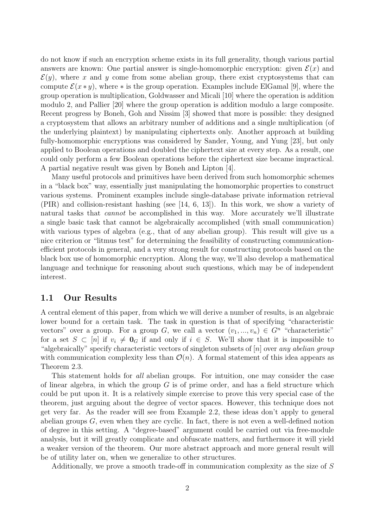do not know if such an encryption scheme exists in its full generality, though various partial answers are known: One partial answer is single-homomorphic encryption: given  $\mathcal{E}(x)$  and  $\mathcal{E}(y)$ , where x and y come from some abelian group, there exist cryptosystems that can compute  $\mathcal{E}(x * y)$ , where  $*$  is the group operation. Examples include ElGamal [9], where the group operation is multiplication, Goldwasser and Micali [10] where the operation is addition modulo 2, and Pallier [20] where the group operation is addition modulo a large composite. Recent progress by Boneh, Goh and Nissim [3] showed that more is possible: they designed a cryptosystem that allows an arbitrary number of additions and a single multiplication (of the underlying plaintext) by manipulating ciphertexts only. Another approach at building fully-homomorphic encryptions was considered by Sander, Young, and Yung [23], but only applied to Boolean operations and doubled the ciphertext size at every step. As a result, one could only perform a few Boolean operations before the ciphertext size became impractical. A partial negative result was given by Boneh and Lipton [4].

Many useful protocols and primitives have been derived from such homomorphic schemes in a "black box" way, essentially just manipulating the homomorphic properties to construct various systems. Prominent examples include single-database private information retrieval (PIR) and collision-resistant hashing (see [14, 6, 13]). In this work, we show a variety of natural tasks that *cannot* be accomplished in this way. More accurately we'll illustrate a single basic task that cannot be algebraically accomplished (with small communication) with various types of algebra (e.g., that of any abelian group). This result will give us a nice criterion or "litmus test" for determining the feasibility of constructing communicationefficient protocols in general, and a very strong result for constructing protocols based on the black box use of homomorphic encryption. Along the way, we'll also develop a mathematical language and technique for reasoning about such questions, which may be of independent interest.

#### 1.1 Our Results

A central element of this paper, from which we will derive a number of results, is an algebraic lower bound for a certain task. The task in question is that of specifying "characteristic vectors" over a group. For a group G, we call a vector  $(v_1, ..., v_n) \in G^n$  "characteristic" for a set  $S \subset [n]$  if  $v_i \neq \mathbf{0}_G$  if and only if  $i \in S$ . We'll show that it is impossible to "algebraically" specify characteristic vectors of singleton subsets of  $[n]$  over any abelian group with communication complexity less than  $\mathcal{O}(n)$ . A formal statement of this idea appears as Theorem 2.3.

This statement holds for all abelian groups. For intuition, one may consider the case of linear algebra, in which the group  $G$  is of prime order, and has a field structure which could be put upon it. It is a relatively simple exercise to prove this very special case of the theorem, just arguing about the degree of vector spaces. However, this technique does not get very far. As the reader will see from Example 2.2, these ideas don't apply to general abelian groups  $G$ , even when they are cyclic. In fact, there is not even a well-defined notion of degree in this setting. A "degree-based" argument could be carried out via free-module analysis, but it will greatly complicate and obfuscate matters, and furthermore it will yield a weaker version of the theorem. Our more abstract approach and more general result will be of utility later on, when we generalize to other structures.

Additionally, we prove a smooth trade-off in communication complexity as the size of S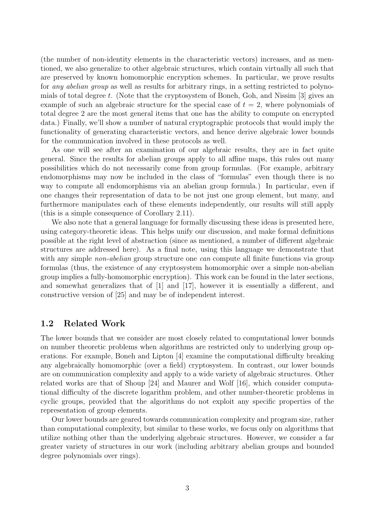(the number of non-identity elements in the characteristic vectors) increases, and as mentioned, we also generalize to other algebraic structures, which contain virtually all such that are preserved by known homomorphic encryption schemes. In particular, we prove results for *any abelian group* as well as results for arbitrary rings, in a setting restricted to polynomials of total degree t. (Note that the cryptosystem of Boneh, Goh, and Nissim  $[3]$  gives an example of such an algebraic structure for the special case of  $t = 2$ , where polynomials of total degree 2 are the most general items that one has the ability to compute on encrypted data.) Finally, we'll show a number of natural cryptographic protocols that would imply the functionality of generating characteristic vectors, and hence derive algebraic lower bounds for the communication involved in these protocols as well.

As one will see after an examination of our algebraic results, they are in fact quite general. Since the results for abelian groups apply to all affine maps, this rules out many possibilities which do not necessarily come from group formulas. (For example, arbitrary endomorphisms may now be included in the class of "formulas" even though there is no way to compute all endomorphisms via an abelian group formula.) In particular, even if one changes their representation of data to be not just one group element, but many, and furthermore manipulates each of these elements independently, our results will still apply (this is a simple consequence of Corollary 2.11).

We also note that a general language for formally discussing these ideas is presented here, using category-theoretic ideas. This helps unify our discussion, and make formal definitions possible at the right level of abstraction (since as mentioned, a number of different algebraic structures are addressed here). As a final note, using this language we demonstrate that with any simple *non-abelian* group structure one *can* compute all finite functions via group formulas (thus, the existence of any cryptosystem homomorphic over a simple non-abelian group implies a fully-homomorphic encryption). This work can be found in the later sections, and somewhat generalizes that of [1] and [17], however it is essentially a different, and constructive version of [25] and may be of independent interest.

#### 1.2 Related Work

The lower bounds that we consider are most closely related to computational lower bounds on number theoretic problems when algorithms are restricted only to underlying group operations. For example, Boneh and Lipton [4] examine the computational difficulty breaking any algebraically homomorphic (over a field) cryptosystem. In contrast, our lower bounds are on communication complexity and apply to a wide variety of algebraic structures. Other related works are that of Shoup [24] and Maurer and Wolf [16], which consider computational difficulty of the discrete logarithm problem, and other number-theoretic problems in cyclic groups, provided that the algorithms do not exploit any specific properties of the representation of group elements.

Our lower bounds are geared towards communication complexity and program size, rather than computational complexity, but similar to these works, we focus only on algorithms that utilize nothing other than the underlying algebraic structures. However, we consider a far greater variety of structures in our work (including arbitrary abelian groups and bounded degree polynomials over rings).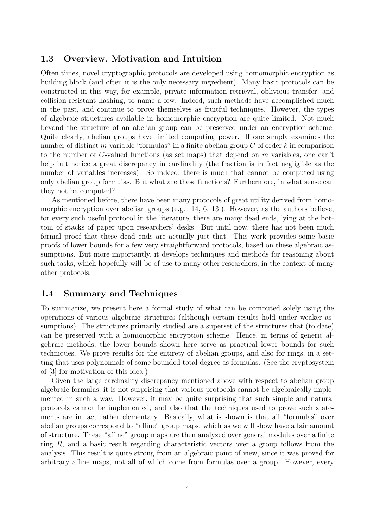### 1.3 Overview, Motivation and Intuition

Often times, novel cryptographic protocols are developed using homomorphic encryption as building block (and often it is the only necessary ingredient). Many basic protocols can be constructed in this way, for example, private information retrieval, oblivious transfer, and collision-resistant hashing, to name a few. Indeed, such methods have accomplished much in the past, and continue to prove themselves as fruitful techniques. However, the types of algebraic structures available in homomorphic encryption are quite limited. Not much beyond the structure of an abelian group can be preserved under an encryption scheme. Quite clearly, abelian groups have limited computing power. If one simply examines the number of distinct m-variable "formulas" in a finite abelian group  $G$  of order k in comparison to the number of G-valued functions (as set maps) that depend on  $m$  variables, one can't help but notice a great discrepancy in cardinality (the fraction is in fact negligible as the number of variables increases). So indeed, there is much that cannot be computed using only abelian group formulas. But what are these functions? Furthermore, in what sense can they not be computed?

As mentioned before, there have been many protocols of great utility derived from homomorphic encryption over abelian groups (e.g.  $[14, 6, 13]$ ). However, as the authors believe, for every such useful protocol in the literature, there are many dead ends, lying at the bottom of stacks of paper upon researchers' desks. But until now, there has not been much formal proof that these dead ends are actually just that. This work provides some basic proofs of lower bounds for a few very straightforward protocols, based on these algebraic assumptions. But more importantly, it develops techniques and methods for reasoning about such tasks, which hopefully will be of use to many other researchers, in the context of many other protocols.

### 1.4 Summary and Techniques

To summarize, we present here a formal study of what can be computed solely using the operations of various algebraic structures (although certain results hold under weaker assumptions). The structures primarily studied are a superset of the structures that (to date) can be preserved with a homomorphic encryption scheme. Hence, in terms of generic algebraic methods, the lower bounds shown here serve as practical lower bounds for such techniques. We prove results for the entirety of abelian groups, and also for rings, in a setting that uses polynomials of some bounded total degree as formulas. (See the cryptosystem of [3] for motivation of this idea.)

Given the large cardinality discrepancy mentioned above with respect to abelian group algebraic formulas, it is not surprising that various protocols cannot be algebraically implemented in such a way. However, it may be quite surprising that such simple and natural protocols cannot be implemented, and also that the techniques used to prove such statements are in fact rather elementary. Basically, what is shown is that all "formulas" over abelian groups correspond to "affine" group maps, which as we will show have a fair amount of structure. These "affine" group maps are then analyzed over general modules over a finite ring  $R$ , and a basic result regarding characteristic vectors over a group follows from the analysis. This result is quite strong from an algebraic point of view, since it was proved for arbitrary affine maps, not all of which come from formulas over a group. However, every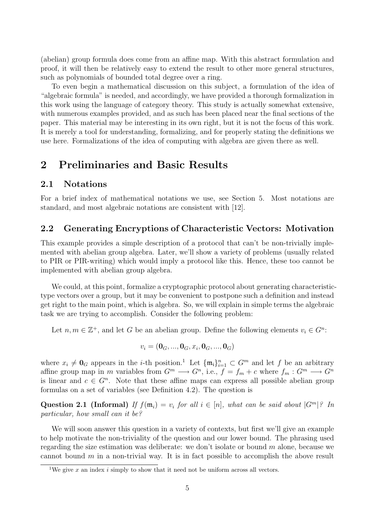(abelian) group formula does come from an affine map. With this abstract formulation and proof, it will then be relatively easy to extend the result to other more general structures, such as polynomials of bounded total degree over a ring.

To even begin a mathematical discussion on this subject, a formulation of the idea of "algebraic formula" is needed, and accordingly, we have provided a thorough formalization in this work using the language of category theory. This study is actually somewhat extensive, with numerous examples provided, and as such has been placed near the final sections of the paper. This material may be interesting in its own right, but it is not the focus of this work. It is merely a tool for understanding, formalizing, and for properly stating the definitions we use here. Formalizations of the idea of computing with algebra are given there as well.

# 2 Preliminaries and Basic Results

#### 2.1 Notations

For a brief index of mathematical notations we use, see Section 5. Most notations are standard, and most algebraic notations are consistent with [12].

#### 2.2 Generating Encryptions of Characteristic Vectors: Motivation

This example provides a simple description of a protocol that can't be non-trivially implemented with abelian group algebra. Later, we'll show a variety of problems (usually related to PIR or PIR-writing) which would imply a protocol like this. Hence, these too cannot be implemented with abelian group algebra.

We could, at this point, formalize a cryptographic protocol about generating characteristictype vectors over a group, but it may be convenient to postpone such a definition and instead get right to the main point, which is algebra. So, we will explain in simple terms the algebraic task we are trying to accomplish. Consider the following problem:

Let  $n, m \in \mathbb{Z}^+$ , and let G be an abelian group. Define the following elements  $v_i \in G^n$ :

$$
v_i = (\mathbf{0}_{G}, ..., \mathbf{0}_{G}, x_i, \mathbf{0}_{G}, ..., \mathbf{0}_{G})
$$

where  $x_i \neq \mathbf{0}_G$  appears in the *i*-th position.<sup>1</sup> Let  $\{\mathfrak{m}_i\}_{i=1}^n \subset G^m$  and let f be an arbitrary affine group map in m variables from  $G^m \longrightarrow G^n$ , i.e.,  $f = f_m + c$  where  $f_m : G^m \longrightarrow G^n$ is linear and  $c \in G^n$ . Note that these affine maps can express all possible abelian group formulas on a set of variables (see Definition 4.2). The question is

Question 2.1 (Informal) If  $f(\mathfrak{m}_i) = v_i$  for all  $i \in [n]$ , what can be said about  $|G^m|^2$ . In particular, how small can it be?

We will soon answer this question in a variety of contexts, but first we'll give an example to help motivate the non-triviality of the question and our lower bound. The phrasing used regarding the size estimation was deliberate: we don't isolate or bound m alone, because we cannot bound  $m$  in a non-trivial way. It is in fact possible to accomplish the above result

<sup>&</sup>lt;sup>1</sup>We give x an index i simply to show that it need not be uniform across all vectors.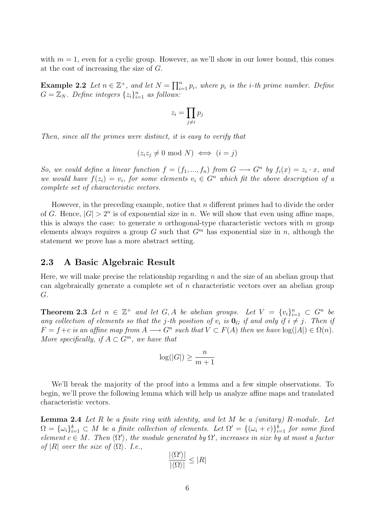with  $m = 1$ , even for a cyclic group. However, as we'll show in our lower bound, this comes at the cost of increasing the size of G.

**Example 2.2** Let  $n \in \mathbb{Z}^+$ , and let  $N = \prod_{i=1}^n p_i$ , where  $p_i$  is the *i*-th prime number. Define  $G = \mathbb{Z}_N$ . Define integers  $\{z_i\}_{i=1}^n$  as follows:

$$
z_i = \prod_{j \neq i} p_j
$$

Then, since all the primes were distinct, it is easy to verify that

$$
(z_i z_j \neq 0 \text{ mod } N) \iff (i = j)
$$

So, we could define a linear function  $f = (f_1, ..., f_n)$  from  $G \longrightarrow G^n$  by  $f_i(x) = z_i \cdot x$ , and we would have  $f(z_i) = v_i$ , for some elements  $v_i \in G^n$  which fit the above description of a complete set of characteristic vectors.

However, in the preceding example, notice that  $n$  different primes had to divide the order of G. Hence,  $|G| > 2^n$  is of exponential size in n. We will show that even using affine maps, this is always the case: to generate n orthogonal-type characteristic vectors with  $m$  group elements always requires a group G such that  $G<sup>m</sup>$  has exponential size in n, although the statement we prove has a more abstract setting.

#### 2.3 A Basic Algebraic Result

Here, we will make precise the relationship regarding  $n$  and the size of an abelian group that can algebraically generate a complete set of n characteristic vectors over an abelian group G.

**Theorem 2.3** Let  $n \in \mathbb{Z}^+$  and let  $G, A$  be abelian groups. Let  $V = \{v_i\}_{i=1}^n \subset G^n$  be any collection of elements so that the j-th position of  $v_i$  is  $\mathbf{0}_G$  if and only if  $i \neq j$ . Then if  $F = f + c$  is an affine map from  $A \longrightarrow G^n$  such that  $V \subset F(A)$  then we have  $log(|A|) \in \Omega(n)$ . More specifically, if  $A \subset G^m$ , we have that

$$
\log(|G|) \ge \frac{n}{m+1}
$$

We'll break the majority of the proof into a lemma and a few simple observations. To begin, we'll prove the following lemma which will help us analyze affine maps and translated characteristic vectors.

**Lemma 2.4** Let  $R$  be a finite ring with identity, and let  $M$  be a (unitary)  $R$ -module. Let  $\Omega = {\{\omega_i\}}_{i=1}^k \subset M$  be a finite collection of elements. Let  $\Omega' = {\{\omega_i + c\}}_{i=1}^k$  for some fixed element  $c \in M$ . Then  $\langle \Omega' \rangle$ , the module generated by  $\Omega'$ , increases in size by at most a factor of |R| over the size of  $\langle \Omega \rangle$ . I.e.,

$$
\frac{|\langle \Omega' \rangle|}{|\langle \Omega \rangle|} \le |R|
$$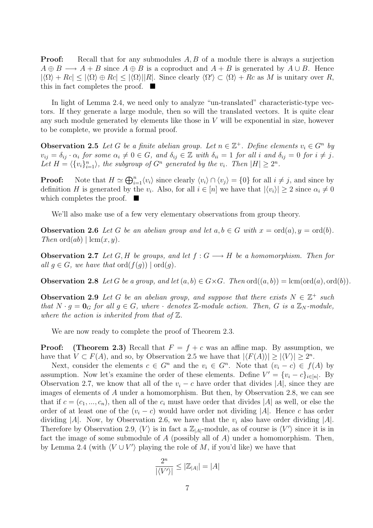**Proof:** Recall that for any submodules A, B of a module there is always a surjection  $A \oplus B \longrightarrow A + B$  since  $A \oplus B$  is a coproduct and  $A + B$  is generated by  $A \cup B$ . Hence  $|\langle \Omega \rangle + Rc| \leq |\langle \Omega \rangle \oplus Rc| \leq |\langle \Omega \rangle| |R|$ . Since clearly  $\langle \Omega' \rangle \subset \langle \Omega \rangle + Rc$  as M is unitary over R, this in fact completes the proof.  $\blacksquare$ 

In light of Lemma 2.4, we need only to analyze "un-translated" characteristic-type vectors. If they generate a large module, then so will the translated vectors. It is quite clear any such module generated by elements like those in  $V$  will be exponential in size, however to be complete, we provide a formal proof.

**Observation 2.5** Let G be a finite abelian group. Let  $n \in \mathbb{Z}^+$ . Define elements  $v_i \in G^n$  by  $v_{ij} = \delta_{ij} \cdot \alpha_i$  for some  $\alpha_i \neq 0 \in G$ , and  $\delta_{ij} \in \mathbb{Z}$  with  $\delta_{ii} = 1$  for all i and  $\delta_{ij} = 0$  for  $i \neq j$ . Let  $H = \langle \{v_i\}_{i=1}^n \rangle$ , the subgroup of  $G^n$  generated by the  $v_i$ . Then  $|H| \geq 2^n$ .

**Proof:** Note that  $H \simeq \bigoplus_{i=1}^n \langle v_i \rangle$  since clearly  $\langle v_i \rangle \cap \langle v_j \rangle = \{0\}$  for all  $i \neq j$ , and since by definition H is generated by the  $v_i$ . Also, for all  $i \in [n]$  we have that  $|\langle v_i \rangle| \geq 2$  since  $\alpha_i \neq 0$ which completes the proof.  $\blacksquare$ 

We'll also make use of a few very elementary observations from group theory.

**Observation 2.6** Let G be an abelian group and let  $a, b \in G$  with  $x = \text{ord}(a), y = \text{ord}(b)$ . Then  $\mathrm{ord}(ab) \mid \mathrm{lcm}(x,y)$ .

**Observation 2.7** Let G, H be groups, and let  $f: G \longrightarrow H$  be a homomorphism. Then for all  $q \in G$ , we have that  $\text{ord}(f(q)) \mid \text{ord}(q)$ .

**Observation 2.8** Let G be a group, and let  $(a, b) \in G \times G$ . Then  $ord((a, b)) = lcm(ord(a), ord(b))$ .

**Observation 2.9** Let G be an abelian group, and suppose that there exists  $N \in \mathbb{Z}^+$  such that  $N \cdot g = \mathbf{0}_G$  for all  $g \in G$ , where  $\cdot$  denotes  $\mathbb{Z}$ -module action. Then, G is a  $\mathbb{Z}_N$ -module, where the action is inherited from that of  $\mathbb{Z}$ .

We are now ready to complete the proof of Theorem 2.3.

**Proof:** (Theorem 2.3) Recall that  $F = f + c$  was an affine map. By assumption, we have that  $V \subset F(A)$ , and so, by Observation 2.5 we have that  $|\langle F(A) \rangle| \ge |\langle V \rangle| \ge 2^n$ .

Next, consider the elements  $c \in G^n$  and the  $v_i \in G^n$ . Note that  $(v_i - c) \in f(A)$  by assumption. Now let's examine the order of these elements. Define  $V' = \{v_i - c\}_{i \in [n]}$ . By Observation 2.7, we know that all of the  $v_i - c$  have order that divides |A|, since they are images of elements of A under a homomorphism. But then, by Observation 2.8, we can see that if  $c = (c_1, ..., c_n)$ , then all of the  $c_i$  must have order that divides |A| as well, or else the order of at least one of the  $(v_i - c)$  would have order not dividing |A|. Hence c has order dividing |A|. Now, by Observation 2.6, we have that the  $v_i$  also have order dividing |A|. Therefore by Observation 2.9,  $\langle V \rangle$  is in fact a  $\mathbb{Z}_{|A|}$ -module, as of course is  $\langle V' \rangle$  since it is in fact the image of some submodule of  $A$  (possibly all of  $A$ ) under a homomorphism. Then, by Lemma 2.4 (with  $\langle V \cup V' \rangle$  playing the role of M, if you'd like) we have that

$$
\frac{2^n}{|\langle V'\rangle|} \le |\mathbb{Z}_{|A|}| = |A|
$$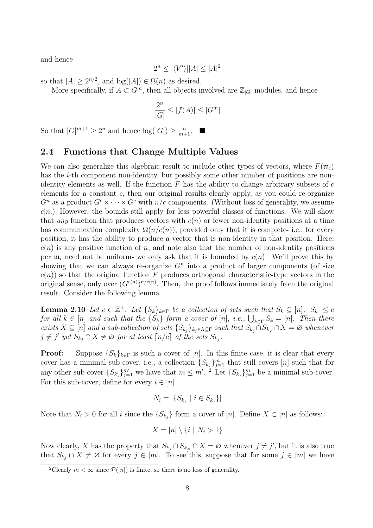and hence

$$
2^n\leq |\langle V'\rangle||A|\leq |A|^2
$$

so that  $|A| \ge 2^{n/2}$ , and  $log(|A|) \in \Omega(n)$  as desired.

More specifically, if  $A \subset G^m$ , then all objects involved are  $\mathbb{Z}_{|G|}$ -modules, and hence

$$
\frac{2^n}{|G|} \le |f(A)| \le |G^m|
$$

So that  $|G|^{m+1} \ge 2^n$  and hence  $\log(|G|) \ge \frac{n}{m+1}$ .

### 2.4 Functions that Change Multiple Values

We can also generalize this algebraic result to include other types of vectors, where  $F(\mathfrak{m}_i)$ has the *i*-th component non-identity, but possibly some other number of positions are nonidentity elements as well. If the function  $F$  has the ability to change arbitrary subsets of  $c$ elements for a constant  $c$ , then our original results clearly apply, as you could re-organize  $G^n$  as a product  $G^c \times \cdots \times G^c$  with  $n/c$  components. (Without loss of generality, we assume  $c|n$ .) However, the bounds still apply for less powerful classes of functions. We will show that any function that produces vectors with  $c(n)$  or fewer non-identity positions at a time has communication complexity  $\Omega(n/c(n))$ , provided only that it is complete- i.e., for every position, it has the ability to produce a vector that is non-identity in that position. Here,  $c(n)$  is any positive function of n, and note also that the number of non-identity positions per  $m_i$  need not be uniform- we only ask that it is bounded by  $c(n)$ . We'll prove this by showing that we can always re-organize  $G<sup>n</sup>$  into a product of larger components (of size  $c(n)$  so that the original function F produces orthogonal characteristic-type vectors in the original sense, only over  $(G^{c(n)})^{n/c(n)}$ . Then, the proof follows immediately from the original result. Consider the following lemma.

**Lemma 2.10** Let  $c \in \mathbb{Z}^+$ . Let  $\{S_k\}_{k \in \Gamma}$  be a collection of sets such that  $S_k \subseteq [n]$ ,  $|S_k| \leq c$ for all  $k \in [n]$  and such that the  $\{S_k\}$  form a cover of  $[n]$ , i.e.,  $\bigcup_{k \in \Gamma} S_k = [n]$ . Then there exists  $X \subseteq [n]$  and a sub-collection of sets  $\{S_{k_j}\}_{k_j \in \Lambda \subseteq \Gamma}$  such that  $S_{k_j} \cap S_{k_{j'}} \cap X = \emptyset$  whenever  $j \neq j'$  yet  $S_{k_j} \cap X \neq \emptyset$  for at least  $\lceil n/c \rceil$  of the sets  $S_{k_j}$ .

**Proof:** Suppose  $\{S_k\}_{k\in\Gamma}$  is such a cover of [n]. In this finite case, it is clear that every cover has a minimal sub-cover, i.e., a collection  $\{S_{k_j}\}_{j=1}^m$  that still covers  $[n]$  such that for any other sub-cover  $\{S_{k'_j}\}_{j=1}^{m'}$  we have that  $m \leq m'$ . <sup>2</sup> Let  $\{S_{k_j}\}_{j=1}^m$  be a minimal sub-cover. For this sub-cover, define for every  $i \in [n]$ 

$$
N_i = |\{S_{k_j} \mid i \in S_{k_j}\}|
$$

Note that  $N_i > 0$  for all i since the  $\{S_{k_j}\}\$ form a cover of  $[n]$ . Define  $X \subset [n]$  as follows:

$$
X = [n] \setminus \{i \mid N_i > 1\}
$$

Now clearly, X has the property that  $S_{k_j} \cap S_{k_{j'}} \cap X = \varnothing$  whenever  $j \neq j'$ , but it is also true that  $S_{k_j} \cap X \neq \emptyset$  for every  $j \in [m]$ . To see this, suppose that for some  $j \in [m]$  we have

<sup>&</sup>lt;sup>2</sup>Clearly  $m < \infty$  since  $\mathcal{P}([n])$  is finite, so there is no loss of generality.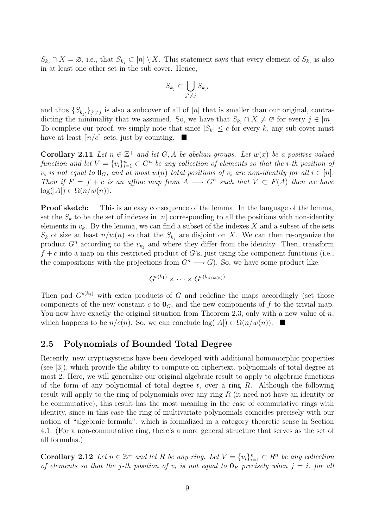$S_{k_j} \cap X = \emptyset$ , i.e., that  $S_{k_j} \subset [n] \setminus X$ . This statement says that every element of  $S_{k_j}$  is also in at least one other set in the sub-cover. Hence,

$$
S_{k_j} \subset \bigcup_{j' \neq j} S_{k_{j'}}
$$

and thus  $\{S_{k_{j'}}\}_{j'\neq j}$  is also a subcover of all of [n] that is smaller than our original, contradicting the minimality that we assumed. So, we have that  $S_{k_i} \cap X \neq \emptyset$  for every  $j \in [m]$ . To complete our proof, we simply note that since  $|S_k| \leq c$  for every k, any sub-cover must have at least  $\lceil n/c \rceil$  sets, just by counting.  $\blacksquare$ 

**Corollary 2.11** Let  $n \in \mathbb{Z}^+$  and let G, A be abelian groups. Let  $w(x)$  be a positive valued function and let  $V = \{v_i\}_{i=1}^n \subset G^n$  be any collection of elements so that the *i*-th position of  $v_i$  is not equal to  $\mathbf{0}_G$ , and at most  $w(n)$  total positions of  $v_i$  are non-identity for all  $i \in [n]$ . Then if  $F = f + c$  is an affine map from  $A \longrightarrow G^n$  such that  $V \subset F(A)$  then we have  $log(|A|) \in \Omega(n/w(n)).$ 

Proof sketch: This is an easy consequence of the lemma. In the language of the lemma, set the  $S_k$  to be the set of indexes in [n] corresponding to all the positions with non-identity elements in  $v_k$ . By the lemma, we can find a subset of the indexes X and a subset of the sets  $S_k$  of size at least  $n/w(n)$  so that the  $S_{k_j}$  are disjoint on X. We can then re-organize the product  $G<sup>n</sup>$  according to the  $v_{k_j}$  and where they differ from the identity. Then, transform  $f + c$  into a map on this restricted product of G's, just using the component functions (i.e., the compositions with the projections from  $G<sup>n</sup> \longrightarrow G$ ). So, we have some product like:

$$
G^{s(k_1)}\times\cdots\times G^{s(k_{n/w(n)})}
$$

Then pad  $G^{s(k_j)}$  with extra products of G and redefine the maps accordingly (set those components of the new constant c to  $\mathbf{0}_G$ , and the new components of f to the trivial map. You now have exactly the original situation from Theorem 2.3, only with a new value of  $n$ , which happens to be  $n/c(n)$ . So, we can conclude  $\log(|A|) \in \Omega(n/w(n))$ .

#### 2.5 Polynomials of Bounded Total Degree

Recently, new cryptosystems have been developed with additional homomorphic properties (see [3]), which provide the ability to compute on ciphertext, polynomials of total degree at most 2. Here, we will generalize our original algebraic result to apply to algebraic functions of the form of any polynomial of total degree t, over a ring R. Although the following result will apply to the ring of polynomials over any ring R (it need not have an identity or be commutative), this result has the most meaning in the case of commutative rings with identity, since in this case the ring of multivariate polynomials coincides precisely with our notion of "algebraic formula", which is formalized in a category theoretic sense in Section 4.1. (For a non-commutative ring, there's a more general structure that serves as the set of all formulas.)

**Corollary 2.12** Let  $n \in \mathbb{Z}^+$  and let R be any ring. Let  $V = \{v_i\}_{i=1}^n \subset R^n$  be any collection of elements so that the j-th position of  $v_i$  is not equal to  $\mathbf{0}_R$  precisely when  $j = i$ , for all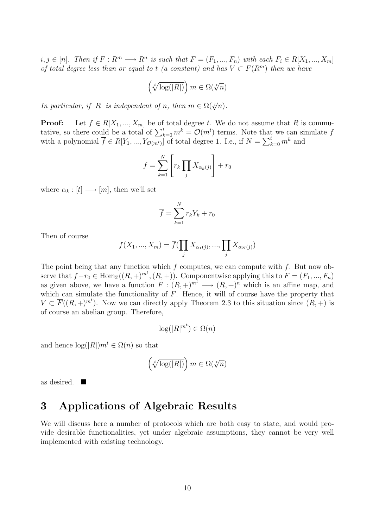$i, j \in [n]$ . Then if  $F: R^m \longrightarrow R^n$  is such that  $F = (F_1, ..., F_n)$  with each  $F_i \in R[X_1, ..., X_m]$ of total degree less than or equal to t (a constant) and has  $V \subset F(R^m)$  then we have

$$
\left(\sqrt[t]{\log(|R|)}\right)m\in \Omega(\sqrt[t]{n})
$$

In particular, if  $|R|$  is independent of n, then  $m \in \Omega(\sqrt[t]{n})$ .

**Proof:** Let  $f \in R[X_1, ..., X_m]$  be of total degree t. We do not assume that R is commutative, so there could be a total of  $\sum_{k=0}^{t} m^{k} = \mathcal{O}(m^{t})$  terms. Note that we can simulate f with a polynomial  $\overline{f} \in R[Y_1, ..., Y_{\mathcal{O}(m^t)}]$  of total degree 1. I.e., if  $N = \sum_{k=0}^{t} m^k$  and

$$
f = \sum_{k=1}^{N} \left[ r_k \prod_j X_{\alpha_k(j)} \right] + r_0
$$

where  $\alpha_k : [t] \longrightarrow [m]$ , then we'll set

$$
\overline{f} = \sum_{k=1}^{N} r_k Y_k + r_0
$$

Then of course

$$
f(X_1, ..., X_m) = \overline{f}(\prod_j X_{\alpha_1(j)}, ..., \prod_j X_{\alpha_N(j)})
$$

The point being that any function which f computes, we can compute with  $\overline{f}$ . But now observe that  $\overline{f}-r_0 \in \text{Hom}_{\mathbb{Z}}((R, +)^{m^t}, (R, +))$ . Componentwise applying this to  $F = (F_1, ..., F_n)$ as given above, we have a function  $\overline{F}$  :  $(R, +)^{m^t} \longrightarrow (R, +)^n$  which is an affine map, and which can simulate the functionality of  $\overline{F}$ . Hence, it will of course have the property that  $V \subset \overline{F}((R, +)^{m^t})$ . Now we can directly apply Theorem 2.3 to this situation since  $(R, +)$  is of course an abelian group. Therefore,

$$
\log(|R|^{m^t}) \in \Omega(n)
$$

and hence  $\log(|R|)m^t \in \Omega(n)$  so that

$$
\left(\sqrt[t]{\log(|R|)}\right)m\in \Omega(\sqrt[t]{n})
$$

as desired.  $\blacksquare$ 

### 3 Applications of Algebraic Results

We will discuss here a number of protocols which are both easy to state, and would provide desirable functionalities, yet under algebraic assumptions, they cannot be very well implemented with existing technology.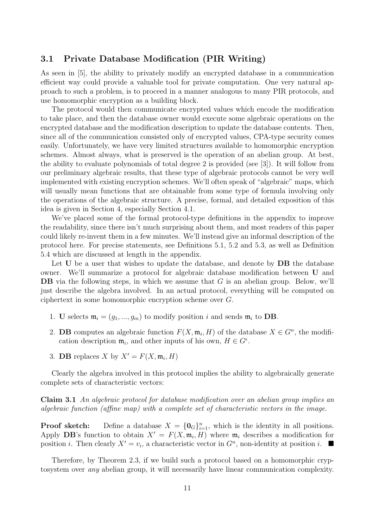### 3.1 Private Database Modification (PIR Writing)

As seen in [5], the ability to privately modify an encrypted database in a communication efficient way could provide a valuable tool for private computation. One very natural approach to such a problem, is to proceed in a manner analogous to many PIR protocols, and use homomorphic encryption as a building block.

The protocol would then communicate encrypted values which encode the modification to take place, and then the database owner would execute some algebraic operations on the encrypted database and the modification description to update the database contents. Then, since all of the communication consisted only of encrypted values, CPA-type security comes easily. Unfortunately, we have very limited structures available to homomorphic encryption schemes. Almost always, what is preserved is the operation of an abelian group. At best, the ability to evaluate polynomials of total degree 2 is provided (see [3]). It will follow from our preliminary algebraic results, that these type of algebraic protocols cannot be very well implemented with existing encryption schemes. We'll often speak of "algebraic" maps, which will usually mean functions that are obtainable from some type of formula involving only the operations of the algebraic structure. A precise, formal, and detailed exposition of this idea is given in Section 4, especially Section 4.1.

We've placed some of the formal protocol-type definitions in the appendix to improve the readability, since there isn't much surprising about them, and most readers of this paper could likely re-invent them in a few minutes. We'll instead give an informal description of the protocol here. For precise statements, see Definitions 5.1, 5.2 and 5.3, as well as Definition 5.4 which are discussed at length in the appendix.

Let U be a user that wishes to update the database, and denote by **DB** the database owner. We'll summarize a protocol for algebraic database modification between U and DB via the following steps, in which we assume that G is an abelian group. Below, we'll just describe the algebra involved. In an actual protocol, everything will be computed on ciphertext in some homomorphic encryption scheme over G.

- 1. U selects  $\mathfrak{m}_i = (g_1, ..., g_m)$  to modify position i and sends  $\mathfrak{m}_i$  to DB.
- 2. **DB** computes an algebraic function  $F(X, \mathfrak{m}_i, H)$  of the database  $X \in G^n$ , the modification description  $\mathfrak{m}_i$ , and other inputs of his own,  $H \in G^{\epsilon}$ .
- 3. **DB** replaces X by  $X' = F(X, \mathfrak{m}_i, H)$

Clearly the algebra involved in this protocol implies the ability to algebraically generate complete sets of characteristic vectors:

Claim 3.1 An algebraic protocol for database modification over an abelian group implies an algebraic function (affine map) with a complete set of characteristic vectors in the image.

**Proof sketch:** Define a database  $X = \{0_G\}_{i=1}^n$ , which is the identity in all positions. Apply DB's function to obtain  $X' = F(X, \mathfrak{m}_i, H)$  where  $\mathfrak{m}_i$  describes a modification for position *i*. Then clearly  $X' = v_i$ , a characteristic vector in  $G<sup>n</sup>$ , non-identity at position *i*.

Therefore, by Theorem 2.3, if we build such a protocol based on a homomorphic cryptosystem over any abelian group, it will necessarily have linear communication complexity.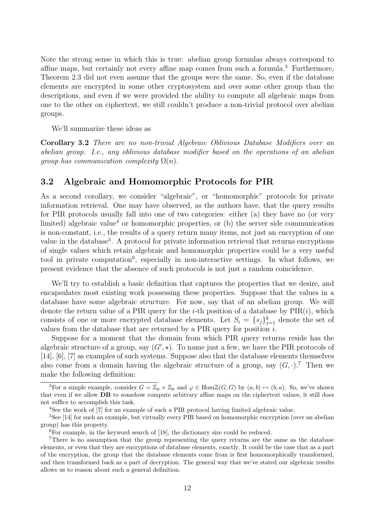Note the strong sense in which this is true: abelian group formulas always correspond to affine maps, but certainly not every affine map comes from such a formula.<sup>3</sup> Furthermore, Theorem 2.3 did not even assume that the groups were the same. So, even if the database elements are encrypted in some other cryptosystem and over some other group than the descriptions, and even if we were provided the ability to compute all algebraic maps from one to the other on ciphertext, we still couldn't produce a non-trivial protocol over abelian groups.

We'll summarize these ideas as

Corollary 3.2 There are no non-trivial Algebraic Oblivious Database Modifiers over an abelian group. I.e., any oblivious database modifier based on the operations of an abelian group has communication complexity  $\Omega(n)$ .

### 3.2 Algebraic and Homomorphic Protocols for PIR

As a second corollary, we consider "algebraic", or "homomorphic" protocols for private information retrieval. One may have observed, as the authors have, that the query results for PIR protocols usually fall into one of two categories: either (a) they have no (or very limited) algebraic value<sup>4</sup> or homomorphic properties, or (b) the server side communication is non-constant, i.e., the results of a query return many items, not just an encryption of one value in the database<sup>5</sup>. A protocol for private information retrieval that returns encryptions of single values which retain algebraic and homomorphic properties could be a very useful tool in private computation<sup>6</sup>, especially in non-interactive settings. In what follows, we present evidence that the absence of such protocols is not just a random coincidence.

We'll try to establish a basic definition that captures the properties that we desire, and encapsulates most existing work possessing these properties. Suppose that the values in a database have some algebraic structure. For now, say that of an abelian group. We will denote the return value of a PIR query for the *i*-th position of a database by  $PIR(i)$ , which consists of one or more encrypted database elements. Let  $S_i = \{s_j\}_{j=1}^k$  denote the set of values from the database that are returned by a PIR query for position i.

Suppose for a moment that the domain from which PIR query returns reside has the algebraic structure of a group, say  $(G',\star)$ . To name just a few, we have the PIR protocols of [14], [6], [7] as examples of such systems. Suppose also that the database elements themselves also come from a domain having the algebraic structure of a group, say  $(G, \cdot)$ .<sup>7</sup> Then we make the following definition:

<sup>&</sup>lt;sup>3</sup>For a simple example, consider  $G = \mathbb{Z}_p \times \mathbb{Z}_p$  and  $\varphi \in \text{Hom}\mathbb{Z}(G,G)$  by  $(a, b) \mapsto (b, a)$ . So, we've shown that even if we allow DB to somehow compute arbitrary affine maps on the ciphertext values, it still does not suffice to accomplish this task.

<sup>4</sup>See the work of [7] for an example of such a PIR protocol having limited algebraic value.

<sup>5</sup>See [14] for such an example, but virtually every PIR based on homomorphic encryption (over an abelian group) has this property.

<sup>6</sup>For example, in the keyword search of [18], the dictionary size could be reduced.

<sup>&</sup>lt;sup>7</sup>There is no assumption that the group representing the query returns are the same as the database elements, or even that they are encryptions of database elements, exactly. It could be the case that as a part of the encryption, the group that the database elements come from is first homomorphically transformed, and then transformed back as a part of decryption. The general way that we've stated our algebraic results allows us to reason about such a general definition.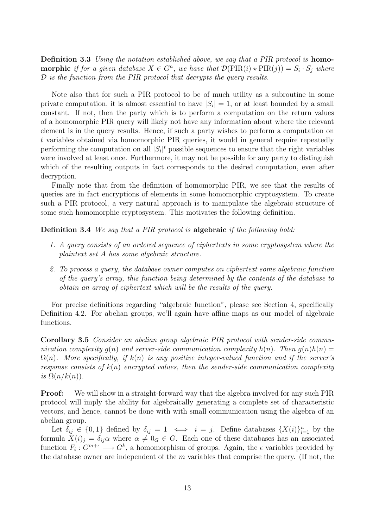Definition 3.3 Using the notation established above, we say that a PIR protocol is homo**morphic** if for a given database  $X \in G^n$ , we have that  $\mathcal{D}(\text{PIR}(i) \star \text{PIR}(j)) = S_i \cdot S_j$  where  $D$  is the function from the PIR protocol that decrypts the query results.

Note also that for such a PIR protocol to be of much utility as a subroutine in some private computation, it is almost essential to have  $|S_i| = 1$ , or at least bounded by a small constant. If not, then the party which is to perform a computation on the return values of a homomorphic PIR query will likely not have any information about where the relevant element is in the query results. Hence, if such a party wishes to perform a computation on t variables obtained via homomorphic PIR queries, it would in general require repeatedly performing the computation on all  $|S_i|^t$  possible sequences to ensure that the right variables were involved at least once. Furthermore, it may not be possible for any party to distinguish which of the resulting outputs in fact corresponds to the desired computation, even after decryption.

Finally note that from the definition of homomorphic PIR, we see that the results of queries are in fact encryptions of elements in some homomorphic cryptosystem. To create such a PIR protocol, a very natural approach is to manipulate the algebraic structure of some such homomorphic cryptosystem. This motivates the following definition.

Definition 3.4 We say that a PIR protocol is algebraic if the following hold:

- 1. A query consists of an ordered sequence of ciphertexts in some cryptosystem where the plaintext set A has some algebraic structure.
- 2. To process a query, the database owner computes on ciphertext some algebraic function of the query's array, this function being determined by the contents of the database to obtain an array of ciphertext which will be the results of the query.

For precise definitions regarding "algebraic function", please see Section 4, specifically Definition 4.2. For abelian groups, we'll again have affine maps as our model of algebraic functions.

Corollary 3.5 Consider an abelian group algebraic PIR protocol with sender-side communication complexity  $q(n)$  and server-side communication complexity  $h(n)$ . Then  $q(n)h(n) =$  $\Omega(n)$ . More specifically, if  $k(n)$  is any positive integer-valued function and if the server's response consists of  $k(n)$  encrypted values, then the sender-side communication complexity is  $\Omega(n/k(n))$ .

**Proof:** We will show in a straight-forward way that the algebra involved for any such PIR protocol will imply the ability for algebraically generating a complete set of characteristic vectors, and hence, cannot be done with with small communication using the algebra of an abelian group.

Let  $\delta_{ij} \in \{0,1\}$  defined by  $\delta_{ij} = 1 \iff i = j$ . Define databases  $\{X(i)\}_{i=1}^n$  by the formula  $X(i)_j = \delta_{ij}\alpha$  where  $\alpha \neq 0_G \in G$ . Each one of these databases has an associated function  $F_i: G^{m+\epsilon} \longrightarrow G^k$ , a homomorphism of groups. Again, the  $\epsilon$  variables provided by the database owner are independent of the  $m$  variables that comprise the query. (If not, the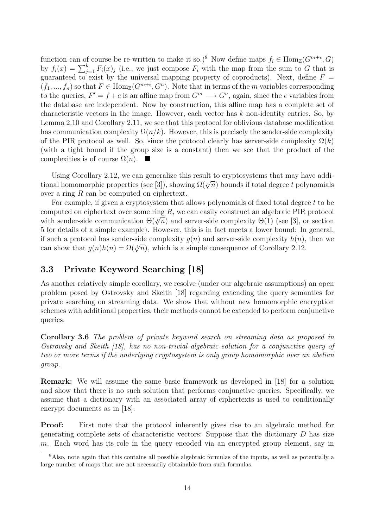function can of course be re-written to make it so.)<sup>8</sup> Now define maps  $f_i \in \text{Hom}_{\mathbb{Z}}(G^{m+\epsilon}, G)$ by  $f_i(x) = \sum_{j=1}^k F_i(x)_j$  (i.e., we just compose  $F_i$  with the map from the sum to G that is guaranteed to exist by the universal mapping property of coproducts). Next, define  $F =$  $(f_1, ..., f_n)$  so that  $F \in \text{Hom}_{\mathbb{Z}}(G^{m+\epsilon}, G^n)$ . Note that in terms of the m variables corresponding to the queries,  $F' = f + c$  is an affine map from  $G^m \longrightarrow G^n$ , again, since the  $\epsilon$  variables from the database are independent. Now by construction, this affine map has a complete set of characteristic vectors in the image. However, each vector has k non-identity entries. So, by Lemma 2.10 and Corollary 2.11, we see that this protocol for oblivious database modification has communication complexity  $\Omega(n/k)$ . However, this is precisely the sender-side complexity of the PIR protocol as well. So, since the protocol clearly has server-side complexity  $\Omega(k)$ (with a tight bound if the group size is a constant) then we see that the product of the complexities is of course  $\Omega(n)$ .  $\blacksquare$ 

Using Corollary 2.12, we can generalize this result to cryptosystems that may have additional homomorphic properties (see [3]), showing  $\Omega({\sqrt{n}})$  bounds if total degree t polynomials over a ring R can be computed on ciphertext.

For example, if given a cryptosystem that allows polynomials of fixed total degree t to be computed on ciphertext over some ring R, we can easily construct an algebraic PIR protocol with sender-side communication  $\Theta(\sqrt[t]{n})$  and server-side complexity  $\Theta(1)$  (see [3], or section 5 for details of a simple example). However, this is in fact meets a lower bound: In general, if such a protocol has sender-side complexity  $q(n)$  and server-side complexity  $h(n)$ , then we can show that  $g(n)h(n) = \Omega(\sqrt[k]{n})$ , which is a simple consequence of Corollary 2.12.

### 3.3 Private Keyword Searching [18]

As another relatively simple corollary, we resolve (under our algebraic assumptions) an open problem posed by Ostrovsky and Skeith [18] regarding extending the query semantics for private searching on streaming data. We show that without new homomorphic encryption schemes with additional properties, their methods cannot be extended to perform conjunctive queries.

Corollary 3.6 The problem of private keyword search on streaming data as proposed in Ostrovsky and Skeith [18], has no non-trivial algebraic solution for a conjunctive query of two or more terms if the underlying cryptosystem is only group homomorphic over an abelian group.

Remark: We will assume the same basic framework as developed in [18] for a solution and show that there is no such solution that performs conjunctive queries. Specifically, we assume that a dictionary with an associated array of ciphertexts is used to conditionally encrypt documents as in [18].

Proof: First note that the protocol inherently gives rise to an algebraic method for generating complete sets of characteristic vectors: Suppose that the dictionary  $D$  has size m. Each word has its role in the query encoded via an encrypted group element, say in

 $8$ Also, note again that this contains all possible algebraic formulas of the inputs, as well as potentially a large number of maps that are not necessarily obtainable from such formulas.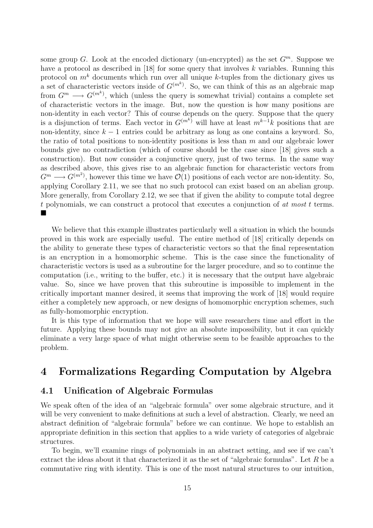some group G. Look at the encoded dictionary (un-encrypted) as the set  $G^m$ . Suppose we have a protocol as described in [18] for some query that involves k variables. Running this protocol on  $m<sup>k</sup>$  documents which run over all unique k-tuples from the dictionary gives us a set of characteristic vectors inside of  $G^{(m^k)}$ . So, we can think of this as an algebraic map from  $G^m \longrightarrow G^{(m^k)}$ , which (unless the query is somewhat trivial) contains a complete set of characteristic vectors in the image. But, now the question is how many positions are non-identity in each vector? This of course depends on the query. Suppose that the query is a disjunction of terms. Each vector in  $G^{(m^k)}$  will have at least  $m^{k-1}k$  positions that are non-identity, since  $k - 1$  entries could be arbitrary as long as one contains a keyword. So, the ratio of total positions to non-identity positions is less than  $m$  and our algebraic lower bounds give no contradiction (which of course should be the case since [18] gives such a construction). But now consider a conjunctive query, just of two terms. In the same way as described above, this gives rise to an algebraic function for characteristic vectors from  $G^m \longrightarrow G^{(m^2)}$ , however this time we have  $\mathcal{O}(1)$  positions of each vector are non-identity. So, applying Corollary 2.11, we see that no such protocol can exist based on an abelian group. More generally, from Corollary 2.12, we see that if given the ability to compute total degree t polynomials, we can construct a protocol that executes a conjunction of at most t terms. ¥

We believe that this example illustrates particularly well a situation in which the bounds proved in this work are especially useful. The entire method of [18] critically depends on the ability to generate these types of characteristic vectors so that the final representation is an encryption in a homomorphic scheme. This is the case since the functionality of characteristic vectors is used as a subroutine for the larger procedure, and so to continue the computation (i.e., writing to the buffer, etc.) it is necessary that the output have algebraic value. So, since we have proven that this subroutine is impossible to implement in the critically important manner desired, it seems that improving the work of [18] would require either a completely new approach, or new designs of homomorphic encryption schemes, such as fully-homomorphic encryption.

It is this type of information that we hope will save researchers time and effort in the future. Applying these bounds may not give an absolute impossibility, but it can quickly eliminate a very large space of what might otherwise seem to be feasible approaches to the problem.

## 4 Formalizations Regarding Computation by Algebra

#### 4.1 Unification of Algebraic Formulas

We speak often of the idea of an "algebraic formula" over some algebraic structure, and it will be very convenient to make definitions at such a level of abstraction. Clearly, we need an abstract definition of "algebraic formula" before we can continue. We hope to establish an appropriate definition in this section that applies to a wide variety of categories of algebraic structures.

To begin, we'll examine rings of polynomials in an abstract setting, and see if we can't extract the ideas about it that characterized it as the set of "algebraic formulas". Let  $R$  be a commutative ring with identity. This is one of the most natural structures to our intuition,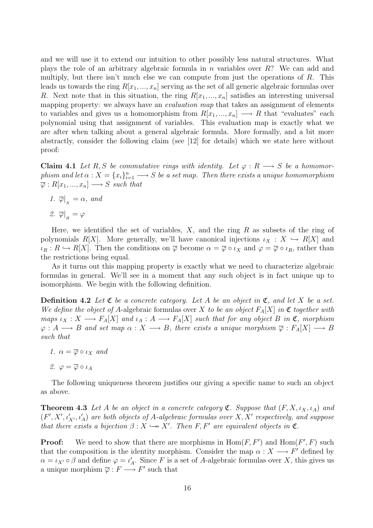and we will use it to extend our intuition to other possibly less natural structures. What plays the role of an arbitrary algebraic formula in n variables over  $R$ ? We can add and multiply, but there isn't much else we can compute from just the operations of  $R$ . This leads us towards the ring  $R[x_1, ..., x_n]$  serving as the set of all generic algebraic formulas over R. Next note that in this situation, the ring  $R[x_1, ..., x_n]$  satisfies an interesting universal mapping property: we always have an *evaluation map* that takes an assignment of elements to variables and gives us a homomorphism from  $R[x_1, ..., x_n] \longrightarrow R$  that "evaluates" each polynomial using that assignment of variables. This evaluation map is exactly what we are after when talking about a general algebraic formula. More formally, and a bit more abstractly, consider the following claim (see [12] for details) which we state here without proof:

**Claim 4.1** Let R, S be commutative rings with identity. Let  $\varphi : R \longrightarrow S$  be a homomorphism and let  $\alpha$  :  $X = \{x_i\}_{i=1}^n \longrightarrow S$  be a set map. Then there exists a unique homomorphism  $\overline{\varphi}:R[x_1,...,x_n]\longrightarrow S$  such that

1.  $\overline{\varphi}|_{X} = \alpha$ , and 2.  $\overline{\varphi}|_{R} = \varphi$ 

Here, we identified the set of variables,  $X$ , and the ring  $R$  as subsets of the ring of polynomials R[X]. More generally, we'll have canonical injections  $\iota_X : X \hookrightarrow R[X]$  and  $\iota_R : R \hookrightarrow R[X]$ . Then the conditions on  $\overline{\varphi}$  become  $\alpha = \overline{\varphi} \circ \iota_X$  and  $\varphi = \overline{\varphi} \circ \iota_R$ , rather than the restrictions being equal.

As it turns out this mapping property is exactly what we need to characterize algebraic formulas in general. We'll see in a moment that any such object is in fact unique up to isomorphism. We begin with the following definition.

**Definition 4.2** Let  $\mathfrak C$  be a concrete category. Let A be an object in  $\mathfrak C$ , and let X be a set. We define the object of A-algebraic formulas over X to be an object  $F_A[X]$  in  $\mathfrak C$  together with maps  $\iota_X : X \longrightarrow F_A[X]$  and  $\iota_A : A \longrightarrow F_A[X]$  such that for any object B in  $\mathfrak{C}$ , morphism  $\varphi: A \longrightarrow B$  and set map  $\alpha: X \longrightarrow B$ , there exists a unique morphism  $\overline{\varphi}: F_A[X] \longrightarrow B$ such that

- 1.  $\alpha = \overline{\varphi} \circ \iota_X$  and
- 2.  $\varphi = \overline{\varphi} \circ \iota_A$

The following uniqueness theorem justifies our giving a specific name to such an object as above.

**Theorem 4.3** Let A be an object in a concrete category  $\mathfrak{C}$ . Suppose that  $(F, X, \iota_X, \iota_A)$  and  $(F', X', \iota'_{X'}, \iota'_{A})$  are both objects of A-algebraic formulas over  $X, X'$  respectively, and suppose that there exists a bijection  $\beta : X \hookrightarrow X'$ . Then F, F' are equivalent objects in  $\mathfrak{C}$ .

**Proof:** We need to show that there are morphisms in  $\text{Hom}(F, F')$  and  $\text{Hom}(F', F)$  such that the composition is the identity morphism. Consider the map  $\alpha : X \longrightarrow F'$  defined by  $\alpha = \iota_{X'} \circ \beta$  and define  $\varphi = \iota'_A$ . Since F is a set of A-algebraic formulas over X, this gives us a unique morphism  $\overline{\varphi}: F \longrightarrow F'$  such that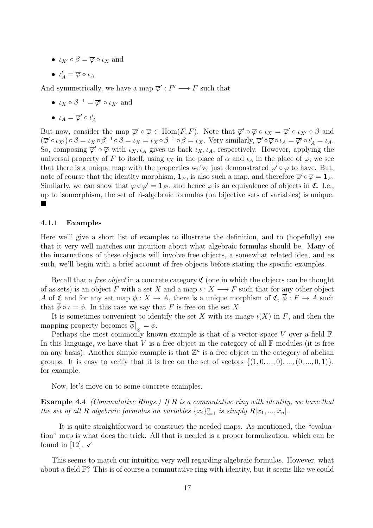- $\iota_{X'} \circ \beta = \overline{\varphi} \circ \iota_X$  and
- $\bullet \ \iota'_A = \overline{\varphi} \circ \iota_A$

And symmetrically, we have a map  $\overline{\varphi}' : F' \longrightarrow F$  such that

- $\iota_X \circ \beta^{-1} = \overline{\varphi}' \circ \iota_{X'}$  and
- $\iota_A = \overline{\varphi}' \circ \iota'_A$

But now, consider the map  $\overline{\varphi}' \circ \overline{\varphi} \in \text{Hom}(F, F)$ . Note that  $\overline{\varphi}' \circ \overline{\varphi} \circ \iota_X = \overline{\varphi}' \circ \iota_{X'} \circ \beta$  and  $(\overline{\varphi}' \circ \iota_{X'}) \circ \beta = \iota_X \circ \beta^{-1} \circ \beta = \iota_X \circ \beta^{-1} \circ \beta = \iota_X$ . Very similarly,  $\overline{\varphi}' \circ \overline{\varphi} \circ \iota_A = \overline{\varphi}' \circ \iota'_A = \iota_A$ . So, composing  $\overline{\varphi}' \circ \overline{\varphi}$  with  $\iota_X, \iota_A$  gives us back  $\iota_X, \iota_A$ , respectively. However, applying the universal property of F to itself, using  $\iota_X$  in the place of  $\alpha$  and  $\iota_A$  in the place of  $\varphi$ , we see that there is a unique map with the properties we've just demonstrated  $\overline{\varphi}' \circ \overline{\varphi}$  to have. But, note of course that the identity morphism,  $\mathbf{1}_F$ , is also such a map, and therefore  $\overline{\varphi}' \circ \overline{\varphi} = \mathbf{1}_F$ . Similarly, we can show that  $\overline{\varphi} \circ \overline{\varphi}' = \mathbf{1}_{F'}$ , and hence  $\overline{\varphi}$  is an equivalence of objects in  $\mathfrak{C}$ . I.e., up to isomorphism, the set of A-algebraic formulas (on bijective sets of variables) is unique. ¥

#### 4.1.1 Examples

Here we'll give a short list of examples to illustrate the definition, and to (hopefully) see that it very well matches our intuition about what algebraic formulas should be. Many of the incarnations of these objects will involve free objects, a somewhat related idea, and as such, we'll begin with a brief account of free objects before stating the specific examples.

Recall that a *free object* in a concrete category  $\mathfrak{C}$  (one in which the objects can be thought of as sets) is an object F with a set X and a map  $\iota : X \longrightarrow F$  such that for any other object A of C and for any set map  $\phi: X \to A$ , there is a unique morphism of C,  $\overline{\phi}: F \to A$  such that  $\phi \circ \iota = \phi$ . In this case we say that F is free on the set X.

It is sometimes convenient to identify the set X with its image  $\iota(X)$  in F, and then the mapping property becomes  $\phi|_{X} = \phi$ .

Perhaps the most commonly known example is that of a vector space V over a field  $\mathbb{F}$ . In this language, we have that  $V$  is a free object in the category of all  $\mathbb{F}\text{-modules}$  (it is free on any basis). Another simple example is that  $\mathbb{Z}^n$  is a free object in the category of abelian groups. It is easy to verify that it is free on the set of vectors  $\{(1,0,\ldots,0),\ldots,(0,\ldots,0,1)\},\$ for example.

Now, let's move on to some concrete examples.

**Example 4.4** *(Commutative Rings.)* If R is a commutative ring with identity, we have that the set of all R algebraic formulas on variables  $\{x_i\}_{i=1}^n$  is simply  $R[x_1, ..., x_n]$ .

It is quite straightforward to construct the needed maps. As mentioned, the "evaluation" map is what does the trick. All that is needed is a proper formalization, which can be found in [12].  $\checkmark$ 

This seems to match our intuition very well regarding algebraic formulas. However, what about a field F? This is of course a commutative ring with identity, but it seems like we could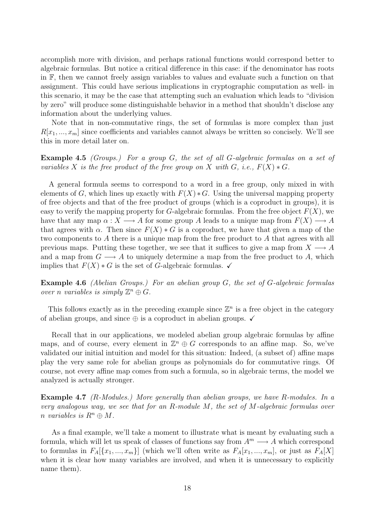accomplish more with division, and perhaps rational functions would correspond better to algebraic formulas. But notice a critical difference in this case: if the denominator has roots in F, then we cannot freely assign variables to values and evaluate such a function on that assignment. This could have serious implications in cryptographic computation as well- in this scenario, it may be the case that attempting such an evaluation which leads to "division by zero" will produce some distinguishable behavior in a method that shouldn't disclose any information about the underlying values.

Note that in non-commutative rings, the set of formulas is more complex than just  $R[x_1, ..., x_m]$  since coefficients and variables cannot always be written so concisely. We'll see this in more detail later on.

Example 4.5 *(Groups.)* For a group G, the set of all G-algebraic formulas on a set of variables X is the free product of the free group on X with G, i.e.,  $F(X) * G$ .

A general formula seems to correspond to a word in a free group, only mixed in with elements of G, which lines up exactly with  $F(X) * G$ . Using the universal mapping property of free objects and that of the free product of groups (which is a coproduct in groups), it is easy to verify the mapping property for G-algebraic formulas. From the free object  $F(X)$ , we have that any map  $\alpha: X \longrightarrow A$  for some group A leads to a unique map from  $F(X) \longrightarrow A$ that agrees with  $\alpha$ . Then since  $F(X) * G$  is a coproduct, we have that given a map of the two components to A there is a unique map from the free product to A that agrees with all previous maps. Putting these together, we see that it suffices to give a map from  $X \longrightarrow A$ and a map from  $G \longrightarrow A$  to uniquely determine a map from the free product to A, which implies that  $F(X) * G$  is the set of G-algebraic formulas.  $\checkmark$ 

Example 4.6 (Abelian Groups.) For an abelian group G, the set of G-algebraic formulas over n variables is simply  $\mathbb{Z}^n \oplus G$ .

This follows exactly as in the preceding example since  $\mathbb{Z}^n$  is a free object in the category of abelian groups, and since  $\oplus$  is a coproduct in abelian groups.  $\checkmark$ 

Recall that in our applications, we modeled abelian group algebraic formulas by affine maps, and of course, every element in  $\mathbb{Z}^n \oplus G$  corresponds to an affine map. So, we've validated our initial intuition and model for this situation: Indeed, (a subset of) affine maps play the very same role for abelian groups as polynomials do for commutative rings. Of course, not every affine map comes from such a formula, so in algebraic terms, the model we analyzed is actually stronger.

Example 4.7 (R-Modules.) More generally than abelian groups, we have R-modules. In a very analogous way, we see that for an R-module M, the set of  $M$ -algebraic formulas over n variables is  $R^n \oplus M$ .

As a final example, we'll take a moment to illustrate what is meant by evaluating such a formula, which will let us speak of classes of functions say from  $A^m \longrightarrow A$  which correspond to formulas in  $F_A[\{x_1,...,x_m\}]$  (which we'll often write as  $F_A[x_1,...,x_m]$ , or just as  $F_A[X]$ when it is clear how many variables are involved, and when it is unnecessary to explicitly name them).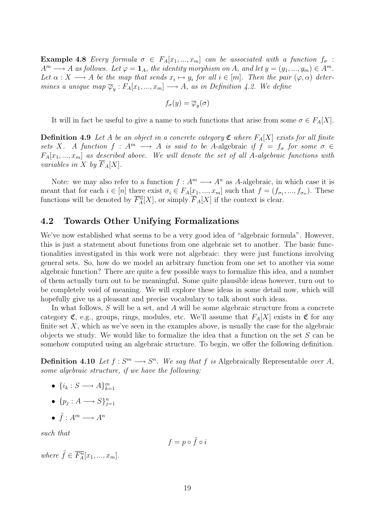Example 4.8 Every formula  $\sigma \in F_A[x_1,...,x_m]$  can be associated with a function  $f_{\sigma}$ :  $A^m \longrightarrow A$  as follows. Let  $\varphi = \mathbf{1}_A$ , the identity morphism on A, and let  $y = (y_1, ..., y_m) \in A^m$ . Let  $\alpha: X \longrightarrow A$  be the map that sends  $x_i \mapsto y_i$  for all  $i \in [m]$ . Then the pair  $(\varphi, \alpha)$  determines a unique map  $\overline{\varphi}_y : F_A[x_1, ..., x_m] \longrightarrow A$ , as in Definition 4.2. We define

$$
f_{\sigma}(y) = \overline{\varphi}_y(\sigma)
$$

It will in fact be useful to give a name to such functions that arise from some  $\sigma \in F_A[X]$ .

**Definition 4.9** Let A be an object in a concrete category  $\mathfrak{C}$  where  $F_A[X]$  exists for all finite sets X. A function  $f : A^m \longrightarrow A$  is said to be A-algebraic if  $f = f_{\sigma}$  for some  $\sigma \in$  $F_A[x_1, ..., x_m]$  as described above. We will denote the set of all A-algebraic functions with variables in X by  $\overline{F}_A[X]$ .

Note: we may also refer to a function  $f : A^m \longrightarrow A^n$  as A-algebraic, in which case it is meant that for each  $i \in [n]$  there exist  $\sigma_i \in F_A[\underline{x}_1, ..., x_m]$  such that  $f = (f_{\sigma_1}, ..., f_{\sigma_n})$ . These functions will be denoted by  $\overline{F_A^n}[X]$ , or simply  $\overline{F}_A[X]$  if the context is clear.

#### 4.2 Towards Other Unifying Formalizations

We've now established what seems to be a very good idea of "algebraic formula". However, this is just a statement about functions from one algebraic set to another. The basic functionalities investigated in this work were not algebraic: they were just functions involving general sets. So, how do we model an arbitrary function from one set to another via some algebraic function? There are quite a few possible ways to formalize this idea, and a number of them actually turn out to be meaningful. Some quite plausible ideas however, turn out to be completely void of meaning. We will explore these ideas in some detail now, which will hopefully give us a pleasant and precise vocabulary to talk about such ideas.

In what follows, S will be a set, and A will be some algebraic structure from a concrete category  $\mathfrak{C}$ , e.g., groups, rings, modules, etc. We'll assume that  $F_A[X]$  exists in  $\mathfrak{C}$  for any finite set  $X$ , which as we've seen in the examples above, is usually the case for the algebraic objects we study. We would like to formalize the idea that a function on the set  $S$  can be somehow computed using an algebraic structure. To begin, we offer the following definition.

**Definition 4.10** Let  $f: S^m \longrightarrow S^n$ . We say that f is Algebraically Representable over A, some algebraic structure, if we have the following:

- $\{i_k: S \longrightarrow A\}_{k=1}^m$
- $\{p_j: A \longrightarrow S\}_{j=1}^n$
- $\tilde{f}: A^m \longrightarrow A^n$

such that

$$
f = p \circ \tilde{f} \circ i
$$

where  $\tilde{f} \in \overline{F_A^n}[x_1, ..., x_m].$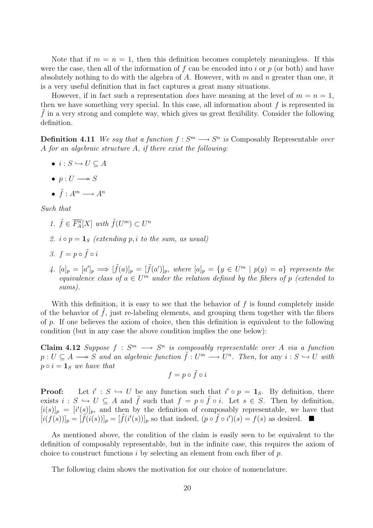Note that if  $m = n = 1$ , then this definition becomes completely meaningless. If this were the case, then all of the information of f can be encoded into i or  $p$  (or both) and have absolutely nothing to do with the algebra of A. However, with  $m$  and  $n$  greater than one, it is a very useful definition that in fact captures a great many situations.

However, if in fact such a representation *does* have meaning at the level of  $m = n = 1$ , then we have something very special. In this case, all information about  $f$  is represented in  $f$  in a very strong and complete way, which gives us great flexibility. Consider the following definition.

**Definition 4.11** We say that a function  $f: S^m \longrightarrow S^n$  is Composably Representable over A for an algebraic structure A, if there exist the following:

- $\bullet i : S \hookrightarrow U \subseteq A$
- $p: U \longrightarrow S$
- $\tilde{f}: A^m \longrightarrow A^n$

Such that

- 1.  $\tilde{f} \in \overline{F_A^n}[X]$  with  $\tilde{f}(U^m) \subset U^n$
- 2.  $i \circ p = 1$ <sub>S</sub> (extending p, i to the sum, as usual)
- 3.  $f = p \circ \tilde{f} \circ i$
- 4.  $[a]_p = [a']_p \Longrightarrow [\tilde{f}(a)]_p = [\tilde{f}(a')]_p$ , where  $[a]_p = \{y \in U^m \mid p(y) = a\}$  represents the equivalence class of  $a \in U^m$  under the relation defined by the fibers of p (extended to sums).

With this definition, it is easy to see that the behavior of  $f$  is found completely inside of the behavior of  $\tilde{f}$ , just re-labeling elements, and grouping them together with the fibers of  $p$ . If one believes the axiom of choice, then this definition is equivalent to the following condition (but in any case the above condition implies the one below):

Claim 4.12 Suppose  $f : S^m \longrightarrow S^n$  is composably representable over A via a function  $p: U \subseteq A \longrightarrow S$  and an algebraic function  $\tilde{f}: U^m \longrightarrow U^n$ . Then, for any  $i: S \hookrightarrow U$  with  $p \circ i = \mathbf{1}_S$  we have that

$$
f = p \circ \tilde{f} \circ i
$$

Proof:  $\mathcal{O}: S \hookrightarrow U$  be any function such that  $i' \circ p = \mathbf{1}_S$ . By definition, there exists  $i : S \hookrightarrow U \subseteq A$  and  $\tilde{f}$  such that  $f = p \circ \tilde{f} \circ i$ . Let  $s \in S$ . Then by definition,  $[i(s)]_p = [i'(s)]_p$ , and then by the definition of composably representable, we have that  $[i(f(s))]_p = [\tilde{f}(i(s))]_p = [\tilde{f}(i'(s))]_p$  so that indeed,  $(p \circ \tilde{f} \circ i')(s) = f(s)$  as desired.  $\blacksquare$ 

As mentioned above, the condition of the claim is easily seen to be equivalent to the definition of composably representable, but in the infinite case, this requires the axiom of choice to construct functions i by selecting an element from each fiber of  $p$ .

The following claim shows the motivation for our choice of nomenclature.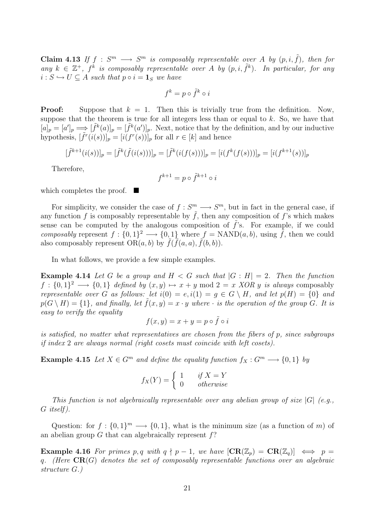**Claim 4.13** If  $f : S^m \longrightarrow S^m$  is composably representable over A by  $(p, i, \tilde{f})$ , then for any  $k \in \mathbb{Z}^+, f^k$  is composably representable over A by  $(p, i, \tilde{f}^k)$ . In particular, for any  $i : S \hookrightarrow U \subseteq A$  such that  $p \circ i = \mathbf{1}_S$  we have

$$
f^k = p \circ \tilde{f}^k \circ i
$$

**Proof:** Suppose that  $k = 1$ . Then this is trivially true from the definition. Now, suppose that the theorem is true for all integers less than or equal to  $k$ . So, we have that  $[a]_p = [a']_p \Longrightarrow [\tilde{f}^k(a)]_p = [\tilde{f}^k(a')]_p$ . Next, notice that by the definition, and by our inductive hypothesis,  $[\tilde{f}^r(i(s))]_p = [i(f^r(s))]_p$  for all  $r \in [k]$  and hence

$$
[\tilde{f}^{k+1}(i(s))]_p = [\tilde{f}^k(\tilde{f}(i(s)))]_p = [\tilde{f}^k(i(f(s)))]_p = [i(f^k(f(s)))]_p = [i(f^{k+1}(s))]_p
$$

Therefore,

$$
f^{k+1} = p \circ \tilde{f}^{k+1} \circ i
$$

which completes the proof.  $\blacksquare$ 

For simplicity, we consider the case of  $f: S^m \longrightarrow S^m$ , but in fact in the general case, if any function f is composably representable by  $\tilde{f}$ , then any composition of f's which makes sense can be computed by the analogous composition of  $\tilde{f}$ 's. For example, if we could composably represent  $f: \{0,1\}^2 \longrightarrow \{0,1\}$  where  $f = \text{NAND}(a, b)$ , using  $\tilde{f}$ , then we could also composably represent  $OR(a, b)$  by  $\tilde{f}(\tilde{f}(a, a), \tilde{f}(b, b)).$ 

In what follows, we provide a few simple examples.

**Example 4.14** Let G be a group and  $H < G$  such that  $|G : H| = 2$ . Then the function  $f: \{0,1\}^2 \longrightarrow \{0,1\}$  defined by  $(x, y) \mapsto x + y \mod 2 = x$  XOR y is always composably representable over G as follows: let  $i(0) = e$ ,  $i(1) = g \in G \setminus H$ , and let  $p(H) = \{0\}$  and  $p(G \setminus H) = \{1\}$ , and finally, let  $f(x, y) = x \cdot y$  where  $\cdot$  is the operation of the group G. It is easy to verify the equality

$$
f(x,y) = x + y = p \circ \tilde{f} \circ i
$$

is satisfied, no matter what representatives are chosen from the fibers of p, since subgroups if index 2 are always normal (right cosets must coincide with left cosets).

Example 4.15 Let  $X \in G^m$  and define the equality function  $f_X : G^m \longrightarrow \{0,1\}$  by

$$
f_X(Y) = \begin{cases} 1 & if X = Y \\ 0 & otherwise \end{cases}
$$

This function is not algebraically representable over any abelian group of size  $|G|$  (e.g., G itself ).

Question: for  $f: \{0,1\}^m \longrightarrow \{0,1\}$ , what is the minimum size (as a function of m) of an abelian group  $G$  that can algebraically represent  $f$ ?

**Example 4.16** For primes p, q with  $q \nmid p-1$ , we have  $[CR(\mathbb{Z}_p) = CR(\mathbb{Z}_q)] \iff p =$ q. (Here  $CR(G)$  denotes the set of composably representable functions over an algebraic structure G.)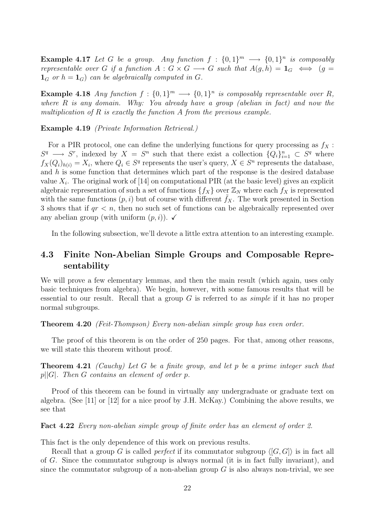**Example 4.17** Let G be a group. Any function  $f : \{0,1\}^m \longrightarrow \{0,1\}^n$  is composably representable over G if a function  $A: G \times G \longrightarrow G$  such that  $A(g,h) = 1_G \iff (g =$  $\mathbf{1}_G$  or  $h = \mathbf{1}_G$  can be algebraically computed in G.

**Example 4.18** Any function  $f: \{0,1\}^m \longrightarrow \{0,1\}^n$  is composably representable over R, where  $R$  is any domain. Why: You already have a group (abelian in fact) and now the multiplication of R is exactly the function A from the previous example.

Example 4.19 (Private Information Retrieval.)

For a PIR protocol, one can define the underlying functions for query processing as  $f_X$ :  $S^q \longrightarrow S^r$ , indexed by  $X = S^n$  such that there exist a collection  $\{Q_i\}_{i=1}^n \subset S^q$  where  $f_X(Q_i)_{h(i)} = X_i$ , where  $Q_i \in S^q$  represents the user's query,  $X \in S^n$  represents the database, and  $h$  is some function that determines which part of the response is the desired database value  $X_i$ . The original work of [14] on computational PIR (at the basic level) gives an explicit algebraic representation of such a set of functions  $\{f_X\}$  over  $\mathbb{Z}_N$  where each  $f_X$  is represented with the same functions  $(p, i)$  but of course with different  $f_X$ . The work presented in Section 3 shows that if  $qr < n$ , then no such set of functions can be algebraically represented over any abelian group (with uniform  $(p, i)$ ).  $\checkmark$ 

In the following subsection, we'll devote a little extra attention to an interesting example.

### 4.3 Finite Non-Abelian Simple Groups and Composable Representability

We will prove a few elementary lemmas, and then the main result (which again, uses only basic techniques from algebra). We begin, however, with some famous results that will be essential to our result. Recall that a group  $G$  is referred to as *simple* if it has no proper normal subgroups.

**Theorem 4.20** (Feit-Thompson) Every non-abelian simple group has even order.

The proof of this theorem is on the order of 250 pages. For that, among other reasons, we will state this theorem without proof.

Theorem 4.21 (Cauchy) Let G be a finite group, and let p be a prime integer such that  $p||G|$ . Then G contains an element of order p.

Proof of this theorem can be found in virtually any undergraduate or graduate text on algebra. (See [11] or [12] for a nice proof by J.H. McKay.) Combining the above results, we see that

Fact 4.22 Every non-abelian simple group of finite order has an element of order 2.

This fact is the only dependence of this work on previous results.

Recall that a group G is called *perfect* if its commutator subgroup  $\langle G, G \rangle$  is in fact all of G. Since the commutator subgroup is always normal (it is in fact fully invariant), and since the commutator subgroup of a non-abelian group  $G$  is also always non-trivial, we see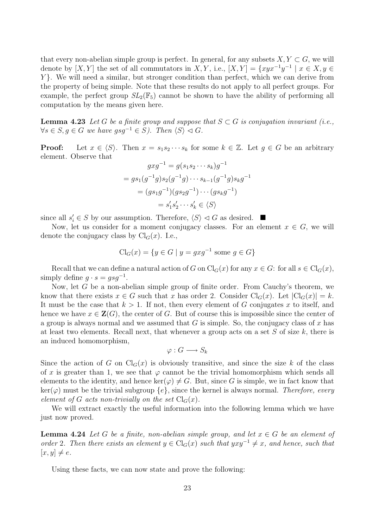that every non-abelian simple group is perfect. In general, for any subsets  $X, Y \subset G$ , we will denote by  $[X, Y]$  the set of all commutators in  $X, Y$ , i.e.,  $[X, Y] = \{xyx^{-1}y^{-1} \mid x \in X, y \in Y\}$ Y }. We will need a similar, but stronger condition than perfect, which we can derive from the property of being simple. Note that these results do not apply to all perfect groups. For example, the perfect group  $SL_2(\mathbb{F}_5)$  cannot be shown to have the ability of performing all computation by the means given here.

**Lemma 4.23** Let G be a finite group and suppose that  $S \subset G$  is conjugation invariant (i.e.,  $\forall s \in S, g \in G$  we have  $gsg^{-1} \in S$ ). Then  $\langle S \rangle \lhd G$ .

**Proof:** Let  $x \in \langle S \rangle$ . Then  $x = s_1 s_2 \cdots s_k$  for some  $k \in \mathbb{Z}$ . Let  $g \in G$  be an arbitrary element. Observe that

$$
gxg^{-1} = g(s_1s_2 \cdots s_k)g^{-1}
$$
  
=  $gs_1(g^{-1}g)s_2(g^{-1}g) \cdots s_{k-1}(g^{-1}g)s_kg^{-1}$   
=  $(gs_1g^{-1})(gs_2g^{-1}) \cdots (gs_kg^{-1})$   
=  $s'_1s'_2 \cdots s'_k \in \langle S \rangle$ 

since all  $s_i \in S$  by our assumption. Therefore,  $\langle S \rangle \vartriangleleft G$  as desired.  $\blacksquare$ 

Now, let us consider for a moment conjugacy classes. For an element  $x \in G$ , we will denote the conjugacy class by  $Cl_G(x)$ . I.e.,

$$
\mathrm{Cl}_G(x) = \{ y \in G \mid y = gxg^{-1} \text{ some } g \in G \}
$$

Recall that we can define a natural action of G on  $\text{Cl}_G(x)$  for any  $x \in G$ : for all  $s \in \text{Cl}_G(x)$ , simply define  $g \cdot s = gsg^{-1}$ .

Now, let G be a non-abelian simple group of finite order. From Cauchy's theorem, we know that there exists  $x \in G$  such that x has order 2. Consider  $\text{Cl}_G(x)$ . Let  $|\text{Cl}_G(x)| = k$ . It must be the case that  $k > 1$ . If not, then every element of G conjugates x to itself, and hence we have  $x \in \mathbf{Z}(G)$ , the center of G. But of course this is impossible since the center of a group is always normal and we assumed that  $G$  is simple. So, the conjugacy class of  $x$  has at least two elements. Recall next, that whenever a group acts on a set  $S$  of size  $k$ , there is an induced homomorphism,

$$
\varphi: G \longrightarrow S_k
$$

Since the action of G on  $Cl_G(x)$  is obviously transitive, and since the size k of the class of x is greater than 1, we see that  $\varphi$  cannot be the trivial homomorphism which sends all elements to the identity, and hence  $\ker(\varphi) \neq G$ . But, since G is simple, we in fact know that  $\ker(\varphi)$  must be the trivial subgroup  $\{e\}$ , since the kernel is always normal. Therefore, every element of G acts non-trivially on the set  $Cl_G(x)$ .

We will extract exactly the useful information into the following lemma which we have just now proved.

**Lemma 4.24** Let G be a finite, non-abelian simple group, and let  $x \in G$  be an element of order 2. Then there exists an element  $y \in Cl_G(x)$  such that  $yxy^{-1} \neq x$ , and hence, such that  $[x, y] \neq e.$ 

Using these facts, we can now state and prove the following: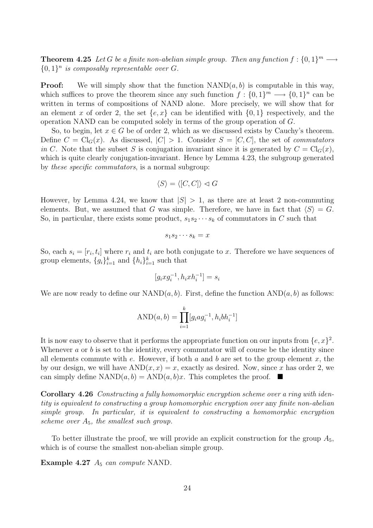**Theorem 4.25** Let G be a finite non-abelian simple group. Then any function  $f: \{0,1\}^m \longrightarrow$  $\{0,1\}^n$  is composably representable over G.

**Proof:** We will simply show that the function  $NAND(a, b)$  is computable in this way, which suffices to prove the theorem since any such function  $f: \{0,1\}^m \longrightarrow \{0,1\}^n$  can be written in terms of compositions of NAND alone. More precisely, we will show that for an element x of order 2, the set  $\{e, x\}$  can be identified with  $\{0, 1\}$  respectively, and the operation NAND can be computed solely in terms of the group operation of G.

So, to begin, let  $x \in G$  be of order 2, which as we discussed exists by Cauchy's theorem. Define  $C = \text{Cl}_G(x)$ . As discussed,  $|C| > 1$ . Consider  $S = [C, C]$ , the set of *commutators* in C. Note that the subset S is conjugation invariant since it is generated by  $C = \text{Cl}_G(x)$ , which is quite clearly conjugation-invariant. Hence by Lemma 4.23, the subgroup generated by these specific commutators, is a normal subgroup:

$$
\langle S \rangle = \langle [C,C] \rangle \vartriangleleft G
$$

However, by Lemma 4.24, we know that  $|S| > 1$ , as there are at least 2 non-commuting elements. But, we assumed that G was simple. Therefore, we have in fact that  $\langle S \rangle = G$ . So, in particular, there exists some product,  $s_1s_2\cdots s_k$  of commutators in C such that

$$
s_1s_2\cdots s_k=x
$$

So, each  $s_i = [r_i, t_i]$  where  $r_i$  and  $t_i$  are both conjugate to x. Therefore we have sequences of group elements,  $\{g_i\}_{i=1}^k$  and  $\{h_i\}_{i=1}^k$  such that

$$
[g_i x g_i^{-1}, h_i x h_i^{-1}] = s_i
$$

We are now ready to define our  $NAND(a, b)$ . First, define the function  $AND(a, b)$  as follows:

AND(*a*, *b*) = 
$$
\prod_{i=1}^{k} [g_i a g_i^{-1}, h_i b h_i^{-1}]
$$

It is now easy to observe that it performs the appropriate function on our inputs from  $\{e, x\}^2$ . Whenever  $a$  or  $b$  is set to the identity, every commutator will of course be the identity since all elements commute with e. However, if both a and b are set to the group element  $x$ , the by our design, we will have  $AND(x, x) = x$ , exactly as desired. Now, since x has order 2, we can simply define  $NAND(a, b) = AND(a, b)x$ . This completes the proof.  $\blacksquare$ 

Corollary 4.26 Constructing a fully homomorphic encryption scheme over a ring with identity is equivalent to constructing a group homomorphic encryption over any finite non-abelian simple group. In particular, it is equivalent to constructing a homomorphic encryption scheme over  $A_5$ , the smallest such group.

To better illustrate the proof, we will provide an explicit construction for the group  $A_5$ , which is of course the smallest non-abelian simple group.

Example 4.27  $A_5$  can compute NAND.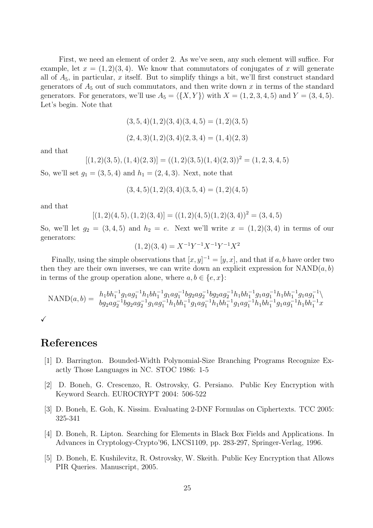First, we need an element of order 2. As we've seen, any such element will suffice. For example, let  $x = (1, 2)(3, 4)$ . We know that commutators of conjugates of x will generate all of  $A_5$ , in particular, x itself. But to simplify things a bit, we'll first construct standard generators of  $A_5$  out of such commutators, and then write down x in terms of the standard generators. For generators, we'll use  $A_5 = \langle \{X, Y\} \rangle$  with  $X = (1, 2, 3, 4, 5)$  and  $Y = (3, 4, 5)$ . Let's begin. Note that

$$
(3,5,4)(1,2)(3,4)(3,4,5) = (1,2)(3,5)
$$

$$
(2,4,3)(1,2)(3,4)(2,3,4) = (1,4)(2,3)
$$

and that

 $[(1, 2)(3, 5), (1, 4)(2, 3)] = ((1, 2)(3, 5)(1, 4)(2, 3))^2 = (1, 2, 3, 4, 5)$ 

So, we'll set  $g_1 = (3, 5, 4)$  and  $h_1 = (2, 4, 3)$ . Next, note that

$$
(3, 4, 5)(1, 2)(3, 4)(3, 5, 4) = (1, 2)(4, 5)
$$

and that

$$
[(1,2)(4,5), (1,2)(3,4)] = ((1,2)(4,5)(1,2)(3,4))^2 = (3,4,5)
$$

So, we'll let  $g_2 = (3, 4, 5)$  and  $h_2 = e$ . Next we'll write  $x = (1, 2)(3, 4)$  in terms of our generators:

$$
(1,2)(3,4) = X^{-1}Y^{-1}X^{-1}Y^{-1}X^2
$$

Finally, using the simple observations that  $[x, y]^{-1} = [y, x]$ , and that if a, b have order two then they are their own inverses, we can write down an explicit expression for  $NAND(a, b)$ in terms of the group operation alone, where  $a, b \in \{e, x\}$ :

$$
\text{NAND}(a,b) = \begin{array}{l} h_1 b h_1^{-1} g_1 a g_1^{-1} h_1 b h_1^{-1} g_1 a g_1^{-1} b g_2 a g_2^{-1} b g_2 a g_2^{-1} h_1 b h_1^{-1} g_1 a g_1^{-1} h_1 b h_1^{-1} g_1 a g_1^{-1} \end{array} \begin{array}{l} h_1 b h_1^{-1} g_1 a g_1^{-1} h_1 b h_1^{-1} g_1 a g_1^{-1} h_1 b h_1^{-1} g_1 a g_1^{-1} h_1 b h_1^{-1} g_1 a g_1^{-1} h_1 b h_1^{-1} g_1 a g_1^{-1} h_1 b h_1^{-1} x \end{array}
$$

 $\checkmark$ 

### References

- [1] D. Barrington. Bounded-Width Polynomial-Size Branching Programs Recognize Exactly Those Languages in NC. STOC 1986: 1-5
- [2] D. Boneh, G. Crescenzo, R. Ostrovsky, G. Persiano. Public Key Encryption with Keyword Search. EUROCRYPT 2004: 506-522
- [3] D. Boneh, E. Goh, K. Nissim. Evaluating 2-DNF Formulas on Ciphertexts. TCC 2005: 325-341
- [4] D. Boneh, R. Lipton. Searching for Elements in Black Box Fields and Applications. In Advances in Cryptology-Crypto'96, LNCS1109, pp. 283-297, Springer-Verlag, 1996.
- [5] D. Boneh, E. Kushilevitz, R. Ostrovsky, W. Skeith. Public Key Encryption that Allows PIR Queries. Manuscript, 2005.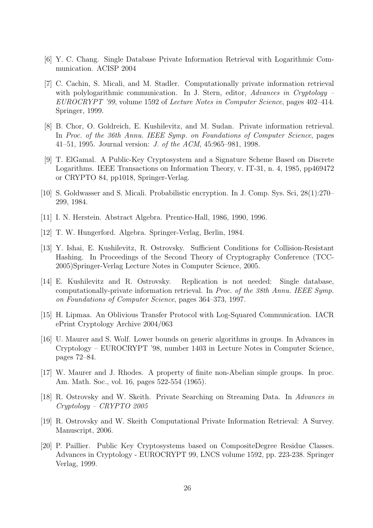- [6] Y. C. Chang. Single Database Private Information Retrieval with Logarithmic Communication. ACISP 2004
- [7] C. Cachin, S. Micali, and M. Stadler. Computationally private information retrieval with polylogarithmic communication. In J. Stern, editor, Advances in Cryptology – EUROCRYPT '99, volume 1592 of Lecture Notes in Computer Science, pages 402–414. Springer, 1999.
- [8] B. Chor, O. Goldreich, E. Kushilevitz, and M. Sudan. Private information retrieval. In Proc. of the 36th Annu. IEEE Symp. on Foundations of Computer Science, pages 41–51, 1995. Journal version: J. of the ACM, 45:965–981, 1998.
- [9] T. ElGamal. A Public-Key Cryptosystem and a Signature Scheme Based on Discrete Logarithms. IEEE Transactions on Information Theory, v. IT-31, n. 4, 1985, pp469472 or CRYPTO 84, pp1018, Springer-Verlag.
- [10] S. Goldwasser and S. Micali. Probabilistic encryption. In J. Comp. Sys. Sci, 28(1):270– 299, 1984.
- [11] I. N. Herstein. Abstract Algebra. Prentice-Hall, 1986, 1990, 1996.
- [12] T. W. Hungerford. Algebra. Springer-Verlag, Berlin, 1984.
- [13] Y. Ishai, E. Kushilevitz, R. Ostrovsky. Sufficient Conditions for Collision-Resistant Hashing. In Proceedings of the Second Theory of Cryptography Conference (TCC-2005)Springer-Verlag Lecture Notes in Computer Science, 2005.
- [14] E. Kushilevitz and R. Ostrovsky. Replication is not needed: Single database, computationally-private information retrieval. In Proc. of the 38th Annu. IEEE Symp. on Foundations of Computer Science, pages 364–373, 1997.
- [15] H. Lipmaa. An Oblivious Transfer Protocol with Log-Squared Communication. IACR ePrint Cryptology Archive 2004/063
- [16] U. Maurer and S. Wolf. Lower bounds on generic algorithms in groups. In Advances in Cryptology – EUROCRYPT '98, number 1403 in Lecture Notes in Computer Science, pages 72–84.
- [17] W. Maurer and J. Rhodes. A property of finite non-Abelian simple groups. In proc. Am. Math. Soc., vol. 16, pages 522-554 (1965).
- [18] R. Ostrovsky and W. Skeith. Private Searching on Streaming Data. In Advances in Cryptology – CRYPTO 2005
- [19] R. Ostrovsky and W. Skeith Computational Private Information Retrieval: A Survey. Manuscript, 2006.
- [20] P. Paillier. Public Key Cryptosystems based on CompositeDegree Residue Classes. Advances in Cryptology - EUROCRYPT 99, LNCS volume 1592, pp. 223-238. Springer Verlag, 1999.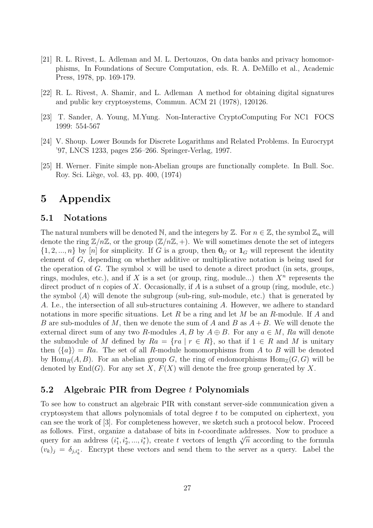- [21] R. L. Rivest, L. Adleman and M. L. Dertouzos, On data banks and privacy homomorphisms, In Foundations of Secure Computation, eds. R. A. DeMillo et al., Academic Press, 1978, pp. 169-179.
- [22] R. L. Rivest, A. Shamir, and L. Adleman A method for obtaining digital signatures and public key cryptosystems, Commun. ACM 21 (1978), 120126.
- [23] T. Sander, A. Young, M.Yung. Non-Interactive CryptoComputing For NC1 FOCS 1999: 554-567
- [24] V. Shoup. Lower Bounds for Discrete Logarithms and Related Problems. In Eurocrypt '97, LNCS 1233, pages 256–266. Springer-Verlag, 1997.
- [25] H. Werner. Finite simple non-Abelian groups are functionally complete. In Bull. Soc. Roy. Sci. Liège, vol. 43, pp. 400, (1974)

# 5 Appendix

#### 5.1 Notations

The natural numbers will be denoted N, and the integers by  $\mathbb{Z}$ . For  $n \in \mathbb{Z}$ , the symbol  $\mathbb{Z}_n$  will denote the ring  $\mathbb{Z}/n\mathbb{Z}$ , or the group  $(\mathbb{Z}/n\mathbb{Z}, +)$ . We will sometimes denote the set of integers  $\{1, 2, ..., n\}$  by [n] for simplicity. If G is a group, then  $\mathbf{0}_G$  or  $\mathbf{1}_G$  will represent the identity element of G, depending on whether additive or multiplicative notation is being used for the operation of G. The symbol  $\times$  will be used to denote a direct product (in sets, groups, rings, modules, etc.), and if X is a set (or group, ring, module...) then  $X^n$  represents the direct product of n copies of X. Occasionally, if A is a subset of a group (ring, module, etc.) the symbol  $\langle A \rangle$  will denote the subgroup (sub-ring, sub-module, etc.) that is generated by A. I.e., the intersection of all sub-structures containing A. However, we adhere to standard notations in more specific situations. Let R be a ring and let M be an R-module. If A and B are sub-modules of M, then we denote the sum of A and B as  $A + B$ . We will denote the external direct sum of any two R-modules A, B by  $A \oplus B$ . For any  $a \in M$ , Ra will denote the submodule of M defined by  $Ra = \{ra \mid r \in R\}$ , so that if  $1 \in R$  and M is unitary then  $\langle \{a\} \rangle = Ra$ . The set of all R-module homomorphisms from A to B will be denoted by Hom<sub>R</sub> $(A, B)$ . For an abelian group G, the ring of endomorphisms Hom<sub>Z</sub> $(G, G)$  will be denoted by  $\text{End}(G)$ . For any set X,  $F(X)$  will denote the free group generated by X.

#### 5.2 Algebraic PIR from Degree t Polynomials

To see how to construct an algebraic PIR with constant server-side communication given a cryptosystem that allows polynomials of total degree t to be computed on ciphertext, you can see the work of [3]. For completeness however, we sketch such a protocol below. Proceed as follows. First, organize a database of bits in t-coordinate addresses. Now to produce a query for an address  $(i_1^*, i_2^*, ..., i_t^*)$ , create t vectors of length  $\sqrt[t]{n}$  according to the formula  $(v_k)_j = \delta_{j,i_k^*}$ . Encrypt these vectors and send them to the server as a query. Label the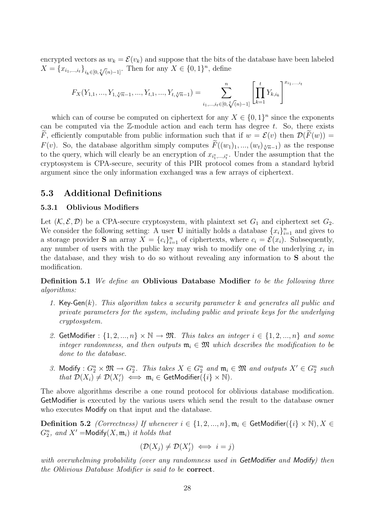encrypted vectors as  $w_k = \mathcal{E}(v_k)$  and suppose that the bits of the database have been labeled  $X = \{x_{i_1,\dots,i_t}\}_{i_k \in [0,\sqrt[t]{(n)}-1]}$ . Then for any  $X \in \{0,1\}^n$ , define

$$
F_X(Y_{1,1},...,Y_{1,\sqrt[t]{n}-1},...,Y_{t,1},...,Y_{t,\sqrt[t]{n}-1}) = \sum_{i_1,...,i_t \in [0,\sqrt[t]{(n)-1]}}^{n} \left[ \prod_{k=1}^t Y_{k,i_k} \right]^{x_{i_1,...,i_t}}
$$

which can of course be computed on ciphertext for any  $X \in \{0,1\}^n$  since the exponents can be computed via the  $\mathbb{Z}$ -module action and each term has degree t. So, there exists F, efficiently computable from public information such that if  $w = \mathcal{E}(v)$  then  $\mathcal{D}(F(w)) =$  $F(v)$ . So, the database algorithm simply computes  $F((w_1)_1, ..., (w_t)_{t \overline{n-1}})$  as the response to the query, which will clearly be an encryption of  $x_{i_1^*,...,i_t^*}$ . Under the assumption that the cryptosystem is CPA-secure, security of this PIR protocol comes from a standard hybrid argument since the only information exchanged was a few arrays of ciphertext.

#### 5.3 Additional Definitions

#### 5.3.1 Oblivious Modifiers

Let  $(K, \mathcal{E}, \mathcal{D})$  be a CPA-secure cryptosystem, with plaintext set  $G_1$  and ciphertext set  $G_2$ . We consider the following setting: A user **U** initially holds a database  $\{x_i\}_{i=1}^n$  and gives to a storage provider **S** an array  $X = \{c_i\}_{i=1}^n$  of ciphertexts, where  $c_i = \mathcal{E}(x_i)$ . Subsequently, any number of users with the public key may wish to modify one of the underlying  $x_i$  in the database, and they wish to do so without revealing any information to S about the modification.

Definition 5.1 We define an Oblivious Database Modifier to be the following three algorithms:

- 1. Key-Gen $(k)$ . This algorithm takes a security parameter k and generates all public and private parameters for the system, including public and private keys for the underlying cryptosystem.
- 2. GetModifier :  $\{1, 2, ..., n\} \times \mathbb{N} \to \mathfrak{M}$ . This takes an integer  $i \in \{1, 2, ..., n\}$  and some integer randomness, and then outputs  $\mathfrak{m}_i \in \mathfrak{M}$  which describes the modification to be done to the database.
- 3. Modify :  $G_2^n \times \mathfrak{M} \to G_2^n$ . This takes  $X \in G_2^n$  and  $\mathfrak{m}_i \in \mathfrak{M}$  and outputs  $X' \in G_2^n$  such that  $\mathcal{D}(X_i) \neq \mathcal{D}(X_i') \iff \mathfrak{m}_i \in \mathsf{GetModifier}(\{i\} \times \mathbb{N}).$

The above algorithms describe a one round protocol for oblivious database modification. GetModifier is executed by the various users which send the result to the database owner who executes Modify on that input and the database.

Definition 5.2 (Correctness) If whenever  $i \in \{1, 2, ..., n\}$ ,  $\mathfrak{m}_i \in \mathsf{GetModifier}(\{i\} \times \mathbb{N}), X \in$  $G_2^n$ , and  $X'$  =Modify $(X, \mathfrak{m}_i)$  it holds that

$$
(\mathcal{D}(X_j) \neq \mathcal{D}(X'_j) \iff i = j)
$$

with overwhelming probability (over any randomness used in GetModifier and Modify) then the Oblivious Database Modifier is said to be correct.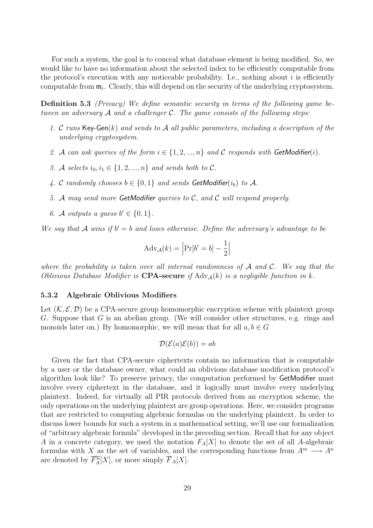For such a system, the goal is to conceal what database element is being modified. So, we would like to have no information about the selected index to be efficiently computable from the protocol's execution with any noticeable probability. I.e., nothing about  $i$  is efficiently computable from  $\mathfrak{m}_i$ . Clearly, this will depend on the security of the underlying cryptosystem.

Definition 5.3 (Privacy) We define semantic security in terms of the following game between an adversary  $\mathcal A$  and a challenger  $\mathcal C$ . The game consists of the following steps:

- 1. C runs  $\text{Kev-Gen}(k)$  and sends to A all public parameters, including a description of the underlying cryptosystem.
- 2. A can ask queries of the form  $i \in \{1, 2, ..., n\}$  and C responds with GetModifier(i).
- 3. A selects  $i_0, i_1 \in \{1, 2, ..., n\}$  and sends both to C.
- 4. C randomly chooses  $b \in \{0,1\}$  and sends GetModifier $(i_b)$  to A.
- 5. A may send more GetModifier queries to C, and C will respond properly.
- 6. A outputs a guess  $b' \in \{0, 1\}$ .

We say that A wins if  $b' = b$  and loses otherwise. Define the adversary's advantage to be

$$
Adv_{\mathcal{A}}(k) = \left| Pr[b' = b] - \frac{1}{2} \right|
$$

where the probability is taken over all internal randomness of  $A$  and  $C$ . We say that the Oblivious Database Modifier is **CPA-secure** if  $\text{Adv}_{\mathcal{A}}(k)$  is a negligible function in k.

#### 5.3.2 Algebraic Oblivious Modifiers

Let  $(K, \mathcal{E}, \mathcal{D})$  be a CPA-secure group homomorphic encryption scheme with plaintext group G. Suppose that G is an abelian group. (We will consider other structures, e.g. rings and monoids later on.) By homomorphic, we will mean that for all  $a, b \in G$ 

$$
\mathcal{D}(\mathcal{E}(a)\mathcal{E}(b)) = ab
$$

Given the fact that CPA-secure ciphertexts contain no information that is computable by a user or the database owner, what could an oblivious database modification protocol's algorithm look like? To preserve privacy, the computation performed by GetModifier must involve every ciphertext in the database, and it logically must involve every underlying plaintext. Indeed, for virtually all PIR protocols derived from an encryption scheme, the only operations on the underlying plaintext are group operations. Here, we consider programs that are restricted to computing algebraic formulas on the underlying plaintext. In order to discuss lower bounds for such a system in a mathematical setting, we'll use our formalization of "arbitrary algebraic formula" developed in the preceding section. Recall that for any object A in a concrete category, we used the notation  $F_A[X]$  to denote the set of all A-algebraic formulas with X as the set of variables, and the corresponding functions from  $A^m \longrightarrow A^n$ are denoted by  $\overline{F_A^n}[X]$ , or more simply  $\overline{F}_A[X]$ .